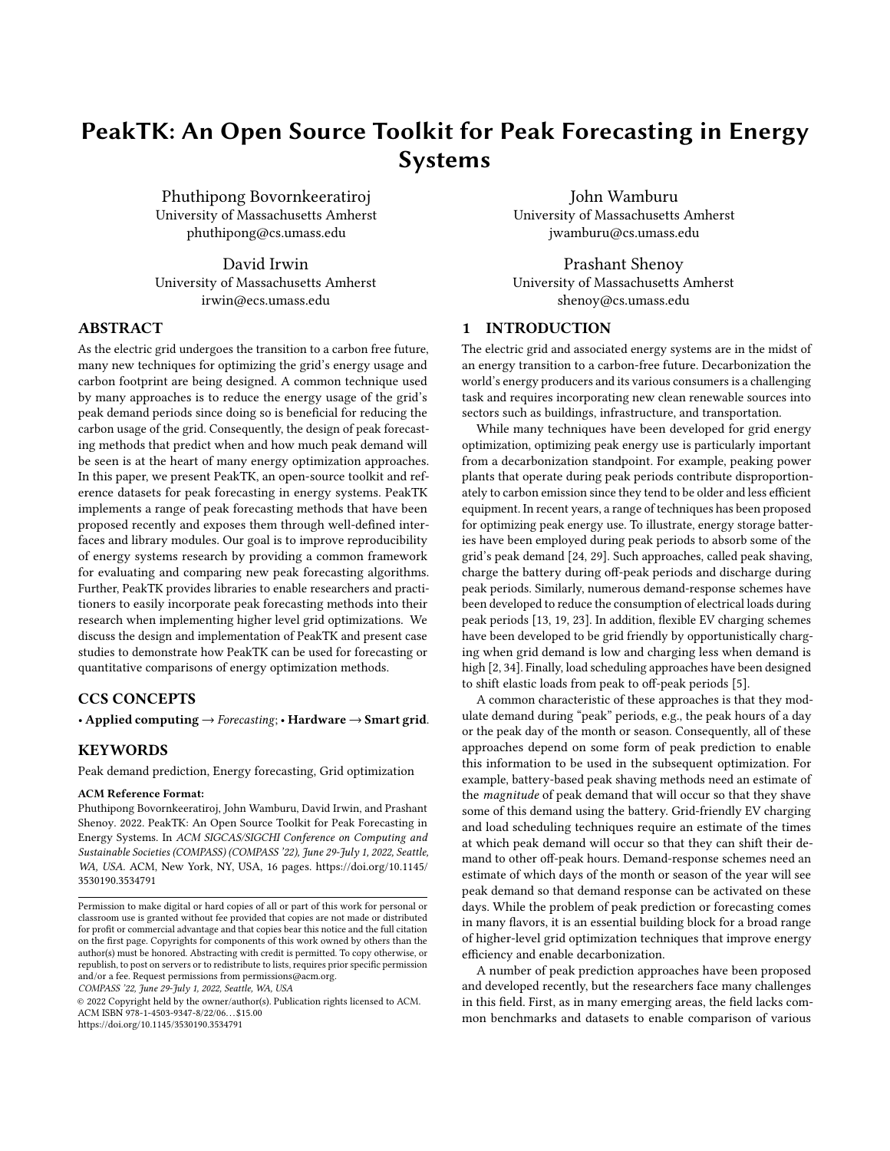# PeakTK: An Open Source Toolkit for Peak Forecasting in Energy Systems

[Phuthipong Bovornkeeratiroj](https://orcid.org/0000-0001-9248-1929) University of Massachusetts Amherst phuthipong@cs.umass.edu

[David Irwin](https://orcid.org/0000-0003-1722-4927) University of Massachusetts Amherst irwin@ecs.umass.edu

## ABSTRACT

As the electric grid undergoes the transition to a carbon free future, many new techniques for optimizing the grid's energy usage and carbon footprint are being designed. A common technique used by many approaches is to reduce the energy usage of the grid's peak demand periods since doing so is beneficial for reducing the carbon usage of the grid. Consequently, the design of peak forecasting methods that predict when and how much peak demand will be seen is at the heart of many energy optimization approaches. In this paper, we present PeakTK, an open-source toolkit and reference datasets for peak forecasting in energy systems. PeakTK implements a range of peak forecasting methods that have been proposed recently and exposes them through well-defined interfaces and library modules. Our goal is to improve reproducibility of energy systems research by providing a common framework for evaluating and comparing new peak forecasting algorithms. Further, PeakTK provides libraries to enable researchers and practitioners to easily incorporate peak forecasting methods into their research when implementing higher level grid optimizations. We discuss the design and implementation of PeakTK and present case studies to demonstrate how PeakTK can be used for forecasting or quantitative comparisons of energy optimization methods.

### CCS CONCEPTS

• Applied computing  $\rightarrow$  Forecasting; • Hardware  $\rightarrow$  Smart grid.

### **KEYWORDS**

Peak demand prediction, Energy forecasting, Grid optimization

#### ACM Reference Format:

Phuthipong Bovornkeeratiroj, John Wamburu, David Irwin, and Prashant Shenoy. 2022. PeakTK: An Open Source Toolkit for Peak Forecasting in Energy Systems. In ACM SIGCAS/SIGCHI Conference on Computing and Sustainable Societies (COMPASS) (COMPASS '22), June 29-July 1, 2022, Seattle, WA, USA. ACM, New York, NY, USA, [16](#page-15-0) pages. [https://doi.org/10.1145/](https://doi.org/10.1145/3530190.3534791) [3530190.3534791](https://doi.org/10.1145/3530190.3534791)

COMPASS '22, June 29-July 1, 2022, Seattle, WA, USA

© 2022 Copyright held by the owner/author(s). Publication rights licensed to ACM. ACM ISBN 978-1-4503-9347-8/22/06. . . \$15.00 <https://doi.org/10.1145/3530190.3534791>

[John Wamburu](https://orcid.org/0000-0001-8797-6564) University of Massachusetts Amherst jwamburu@cs.umass.edu

[Prashant Shenoy](https://orcid.org/0000-0002-5435-1901) University of Massachusetts Amherst shenoy@cs.umass.edu

# 1 INTRODUCTION

The electric grid and associated energy systems are in the midst of an energy transition to a carbon-free future. Decarbonization the world's energy producers and its various consumers is a challenging task and requires incorporating new clean renewable sources into sectors such as buildings, infrastructure, and transportation.

While many techniques have been developed for grid energy optimization, optimizing peak energy use is particularly important from a decarbonization standpoint. For example, peaking power plants that operate during peak periods contribute disproportionately to carbon emission since they tend to be older and less efficient equipment. In recent years, a range of techniques has been proposed for optimizing peak energy use. To illustrate, energy storage batteries have been employed during peak periods to absorb some of the grid's peak demand [\[24,](#page-14-0) [29\]](#page-15-1). Such approaches, called peak shaving, charge the battery during off-peak periods and discharge during peak periods. Similarly, numerous demand-response schemes have been developed to reduce the consumption of electrical loads during peak periods [\[13,](#page-14-1) [19,](#page-14-2) [23\]](#page-14-3). In addition, flexible EV charging schemes have been developed to be grid friendly by opportunistically charging when grid demand is low and charging less when demand is high [\[2,](#page-14-4) [34\]](#page-15-2). Finally, load scheduling approaches have been designed to shift elastic loads from peak to off-peak periods [\[5\]](#page-14-5).

A common characteristic of these approaches is that they modulate demand during "peak" periods, e.g., the peak hours of a day or the peak day of the month or season. Consequently, all of these approaches depend on some form of peak prediction to enable this information to be used in the subsequent optimization. For example, battery-based peak shaving methods need an estimate of the *magnitude* of peak demand that will occur so that they shave some of this demand using the battery. Grid-friendly EV charging and load scheduling techniques require an estimate of the times at which peak demand will occur so that they can shift their demand to other off-peak hours. Demand-response schemes need an estimate of which days of the month or season of the year will see peak demand so that demand response can be activated on these days. While the problem of peak prediction or forecasting comes in many flavors, it is an essential building block for a broad range of higher-level grid optimization techniques that improve energy efficiency and enable decarbonization.

A number of peak prediction approaches have been proposed and developed recently, but the researchers face many challenges in this field. First, as in many emerging areas, the field lacks common benchmarks and datasets to enable comparison of various

Permission to make digital or hard copies of all or part of this work for personal or classroom use is granted without fee provided that copies are not made or distributed for profit or commercial advantage and that copies bear this notice and the full citation on the first page. Copyrights for components of this work owned by others than the author(s) must be honored. Abstracting with credit is permitted. To copy otherwise, or republish, to post on servers or to redistribute to lists, requires prior specific permission and/or a fee. Request permissions from permissions@acm.org.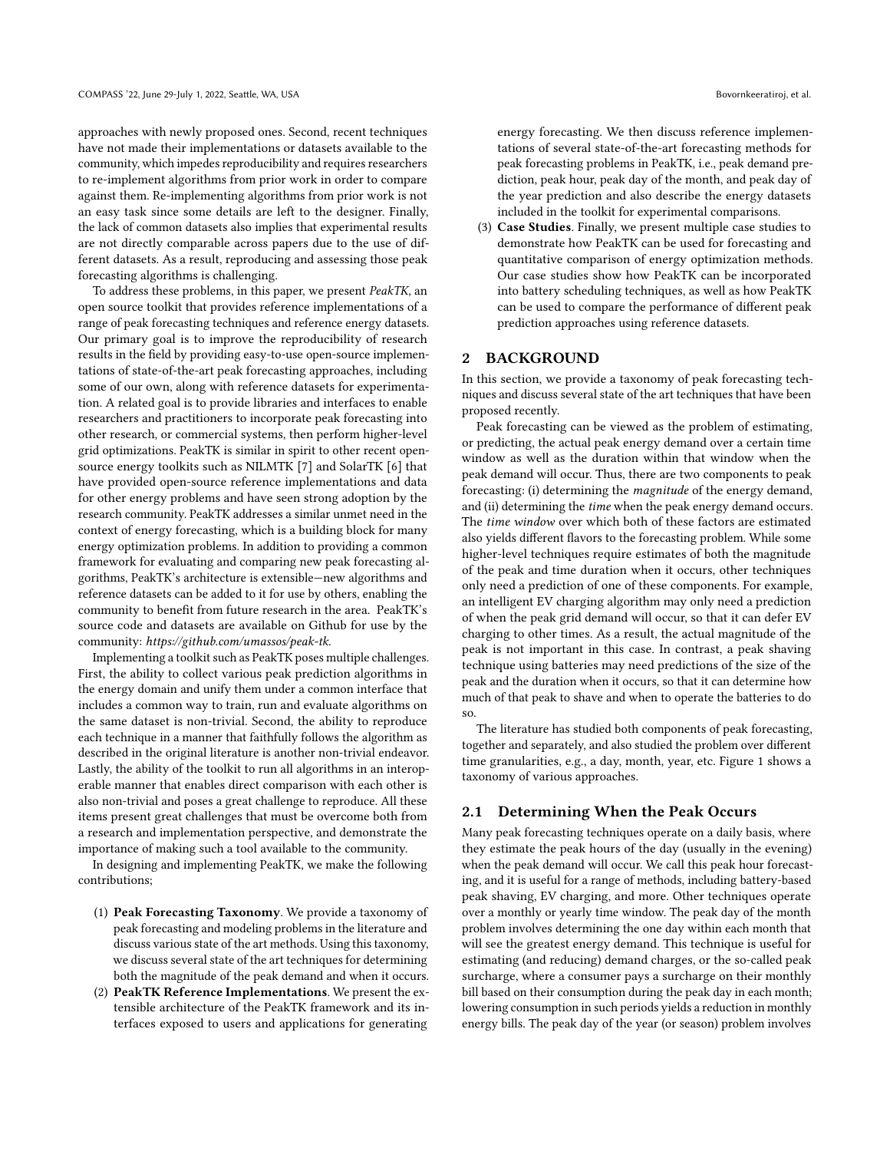approaches with newly proposed ones. Second, recent techniques have not made their implementations or datasets available to the community, which impedes reproducibility and requires researchers to re-implement algorithms from prior work in order to compare against them. Re-implementing algorithms from prior work is not an easy task since some details are left to the designer. Finally, the lack of common datasets also implies that experimental results are not directly comparable across papers due to the use of different datasets. As a result, reproducing and assessing those peak forecasting algorithms is challenging.

To address these problems, in this paper, we present PeakTK, an open source toolkit that provides reference implementations of a range of peak forecasting techniques and reference energy datasets. Our primary goal is to improve the reproducibility of research results in the field by providing easy-to-use open-source implementations of state-of-the-art peak forecasting approaches, including some of our own, along with reference datasets for experimentation. A related goal is to provide libraries and interfaces to enable researchers and practitioners to incorporate peak forecasting into other research, or commercial systems, then perform higher-level grid optimizations. PeakTK is similar in spirit to other recent opensource energy toolkits such as NILMTK [\[7\]](#page-14-6) and SolarTK [\[6\]](#page-14-7) that have provided open-source reference implementations and data for other energy problems and have seen strong adoption by the research community. PeakTK addresses a similar unmet need in the context of energy forecasting, which is a building block for many energy optimization problems. In addition to providing a common framework for evaluating and comparing new peak forecasting algorithms, PeakTK's architecture is extensible—new algorithms and reference datasets can be added to it for use by others, enabling the community to benefit from future research in the area. PeakTK's source code and datasets are available on Github for use by the community: https://github.com/umassos/peak-tk.

Implementing a toolkit such as PeakTK poses multiple challenges. First, the ability to collect various peak prediction algorithms in the energy domain and unify them under a common interface that includes a common way to train, run and evaluate algorithms on the same dataset is non-trivial. Second, the ability to reproduce each technique in a manner that faithfully follows the algorithm as described in the original literature is another non-trivial endeavor. Lastly, the ability of the toolkit to run all algorithms in an interoperable manner that enables direct comparison with each other is also non-trivial and poses a great challenge to reproduce. All these items present great challenges that must be overcome both from a research and implementation perspective, and demonstrate the importance of making such a tool available to the community.

In designing and implementing PeakTK, we make the following contributions;

- (1) Peak Forecasting Taxonomy. We provide a taxonomy of peak forecasting and modeling problems in the literature and discuss various state of the art methods. Using this taxonomy, we discuss several state of the art techniques for determining both the magnitude of the peak demand and when it occurs.
- (2) PeakTK Reference Implementations. We present the extensible architecture of the PeakTK framework and its interfaces exposed to users and applications for generating

energy forecasting. We then discuss reference implementations of several state-of-the-art forecasting methods for peak forecasting problems in PeakTK, i.e., peak demand prediction, peak hour, peak day of the month, and peak day of the year prediction and also describe the energy datasets included in the toolkit for experimental comparisons.

(3) Case Studies. Finally, we present multiple case studies to demonstrate how PeakTK can be used for forecasting and quantitative comparison of energy optimization methods. Our case studies show how PeakTK can be incorporated into battery scheduling techniques, as well as how PeakTK can be used to compare the performance of different peak prediction approaches using reference datasets.

### 2 BACKGROUND

In this section, we provide a taxonomy of peak forecasting techniques and discuss several state of the art techniques that have been proposed recently.

Peak forecasting can be viewed as the problem of estimating, or predicting, the actual peak energy demand over a certain time window as well as the duration within that window when the peak demand will occur. Thus, there are two components to peak forecasting: (i) determining the magnitude of the energy demand, and (ii) determining the time when the peak energy demand occurs. The time window over which both of these factors are estimated also yields different flavors to the forecasting problem. While some higher-level techniques require estimates of both the magnitude of the peak and time duration when it occurs, other techniques only need a prediction of one of these components. For example, an intelligent EV charging algorithm may only need a prediction of when the peak grid demand will occur, so that it can defer EV charging to other times. As a result, the actual magnitude of the peak is not important in this case. In contrast, a peak shaving technique using batteries may need predictions of the size of the peak and the duration when it occurs, so that it can determine how much of that peak to shave and when to operate the batteries to do so.

The literature has studied both components of peak forecasting, together and separately, and also studied the problem over different time granularities, e.g., a day, month, year, etc. Figure [1](#page-2-0) shows a taxonomy of various approaches.

### 2.1 Determining When the Peak Occurs

Many peak forecasting techniques operate on a daily basis, where they estimate the peak hours of the day (usually in the evening) when the peak demand will occur. We call this peak hour forecasting, and it is useful for a range of methods, including battery-based peak shaving, EV charging, and more. Other techniques operate over a monthly or yearly time window. The peak day of the month problem involves determining the one day within each month that will see the greatest energy demand. This technique is useful for estimating (and reducing) demand charges, or the so-called peak surcharge, where a consumer pays a surcharge on their monthly bill based on their consumption during the peak day in each month; lowering consumption in such periods yields a reduction in monthly energy bills. The peak day of the year (or season) problem involves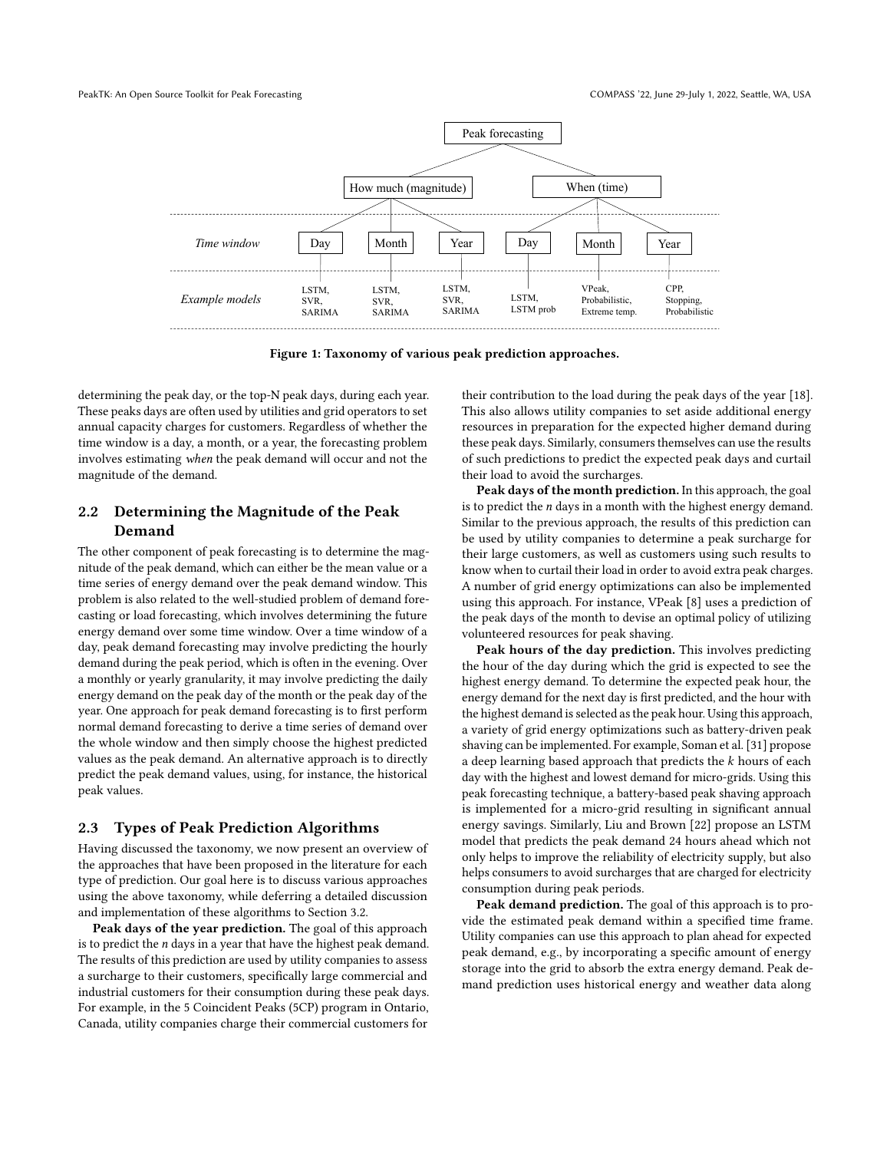<span id="page-2-0"></span>

Figure 1: Taxonomy of various peak prediction approaches.

determining the peak day, or the top-N peak days, during each year. These peaks days are often used by utilities and grid operators to set annual capacity charges for customers. Regardless of whether the time window is a day, a month, or a year, the forecasting problem involves estimating when the peak demand will occur and not the magnitude of the demand.

# 2.2 Determining the Magnitude of the Peak Demand

The other component of peak forecasting is to determine the magnitude of the peak demand, which can either be the mean value or a time series of energy demand over the peak demand window. This problem is also related to the well-studied problem of demand forecasting or load forecasting, which involves determining the future energy demand over some time window. Over a time window of a day, peak demand forecasting may involve predicting the hourly demand during the peak period, which is often in the evening. Over a monthly or yearly granularity, it may involve predicting the daily energy demand on the peak day of the month or the peak day of the year. One approach for peak demand forecasting is to first perform normal demand forecasting to derive a time series of demand over the whole window and then simply choose the highest predicted values as the peak demand. An alternative approach is to directly predict the peak demand values, using, for instance, the historical peak values.

#### 2.3 Types of Peak Prediction Algorithms

Having discussed the taxonomy, we now present an overview of the approaches that have been proposed in the literature for each type of prediction. Our goal here is to discuss various approaches using the above taxonomy, while deferring a detailed discussion and implementation of these algorithms to Section [3.2.](#page-4-0)

Peak days of the year prediction. The goal of this approach is to predict the  $n$  days in a year that have the highest peak demand. The results of this prediction are used by utility companies to assess a surcharge to their customers, specifically large commercial and industrial customers for their consumption during these peak days. For example, in the 5 Coincident Peaks (5CP) program in Ontario, Canada, utility companies charge their commercial customers for

their contribution to the load during the peak days of the year [\[18\]](#page-14-8). This also allows utility companies to set aside additional energy resources in preparation for the expected higher demand during these peak days. Similarly, consumers themselves can use the results of such predictions to predict the expected peak days and curtail their load to avoid the surcharges.

Peak days of the month prediction. In this approach, the goal is to predict the  $n$  days in a month with the highest energy demand. Similar to the previous approach, the results of this prediction can be used by utility companies to determine a peak surcharge for their large customers, as well as customers using such results to know when to curtail their load in order to avoid extra peak charges. A number of grid energy optimizations can also be implemented using this approach. For instance, VPeak [\[8\]](#page-14-9) uses a prediction of the peak days of the month to devise an optimal policy of utilizing volunteered resources for peak shaving.

Peak hours of the day prediction. This involves predicting the hour of the day during which the grid is expected to see the highest energy demand. To determine the expected peak hour, the energy demand for the next day is first predicted, and the hour with the highest demand is selected as the peak hour. Using this approach, a variety of grid energy optimizations such as battery-driven peak shaving can be implemented. For example, Soman et al. [\[31\]](#page-15-3) propose a deep learning based approach that predicts the  $k$  hours of each day with the highest and lowest demand for micro-grids. Using this peak forecasting technique, a battery-based peak shaving approach is implemented for a micro-grid resulting in significant annual energy savings. Similarly, Liu and Brown [\[22\]](#page-14-10) propose an LSTM model that predicts the peak demand 24 hours ahead which not only helps to improve the reliability of electricity supply, but also helps consumers to avoid surcharges that are charged for electricity consumption during peak periods.

Peak demand prediction. The goal of this approach is to provide the estimated peak demand within a specified time frame. Utility companies can use this approach to plan ahead for expected peak demand, e.g., by incorporating a specific amount of energy storage into the grid to absorb the extra energy demand. Peak demand prediction uses historical energy and weather data along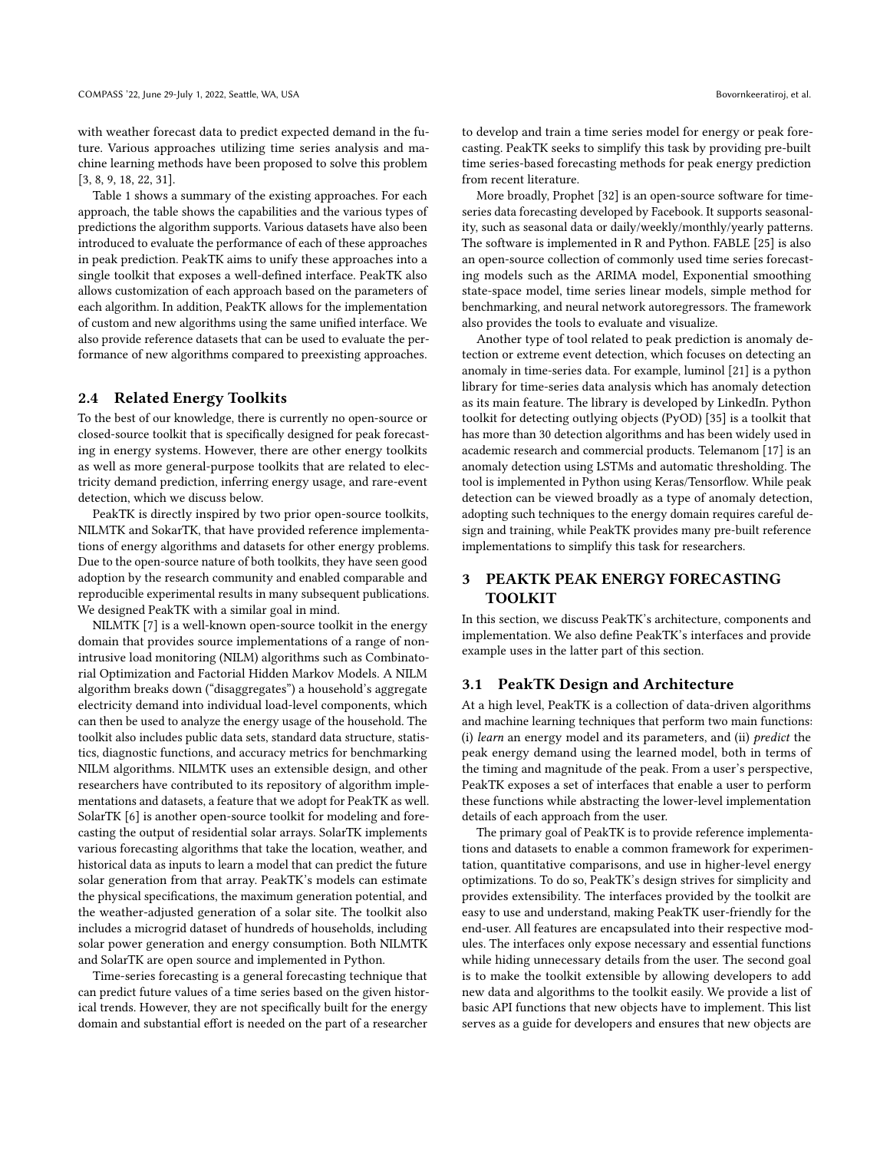with weather forecast data to predict expected demand in the future. Various approaches utilizing time series analysis and machine learning methods have been proposed to solve this problem [\[3,](#page-14-11) [8,](#page-14-9) [9,](#page-14-12) [18,](#page-14-8) [22,](#page-14-10) [31\]](#page-15-3).

Table [1](#page-4-1) shows a summary of the existing approaches. For each approach, the table shows the capabilities and the various types of predictions the algorithm supports. Various datasets have also been introduced to evaluate the performance of each of these approaches in peak prediction. PeakTK aims to unify these approaches into a single toolkit that exposes a well-defined interface. PeakTK also allows customization of each approach based on the parameters of each algorithm. In addition, PeakTK allows for the implementation of custom and new algorithms using the same unified interface. We also provide reference datasets that can be used to evaluate the performance of new algorithms compared to preexisting approaches.

### 2.4 Related Energy Toolkits

To the best of our knowledge, there is currently no open-source or closed-source toolkit that is specifically designed for peak forecasting in energy systems. However, there are other energy toolkits as well as more general-purpose toolkits that are related to electricity demand prediction, inferring energy usage, and rare-event detection, which we discuss below.

PeakTK is directly inspired by two prior open-source toolkits, NILMTK and SokarTK, that have provided reference implementations of energy algorithms and datasets for other energy problems. Due to the open-source nature of both toolkits, they have seen good adoption by the research community and enabled comparable and reproducible experimental results in many subsequent publications. We designed PeakTK with a similar goal in mind.

NILMTK [\[7\]](#page-14-6) is a well-known open-source toolkit in the energy domain that provides source implementations of a range of nonintrusive load monitoring (NILM) algorithms such as Combinatorial Optimization and Factorial Hidden Markov Models. A NILM algorithm breaks down ("disaggregates") a household's aggregate electricity demand into individual load-level components, which can then be used to analyze the energy usage of the household. The toolkit also includes public data sets, standard data structure, statistics, diagnostic functions, and accuracy metrics for benchmarking NILM algorithms. NILMTK uses an extensible design, and other researchers have contributed to its repository of algorithm implementations and datasets, a feature that we adopt for PeakTK as well. SolarTK [\[6\]](#page-14-7) is another open-source toolkit for modeling and forecasting the output of residential solar arrays. SolarTK implements various forecasting algorithms that take the location, weather, and historical data as inputs to learn a model that can predict the future solar generation from that array. PeakTK's models can estimate the physical specifications, the maximum generation potential, and the weather-adjusted generation of a solar site. The toolkit also includes a microgrid dataset of hundreds of households, including solar power generation and energy consumption. Both NILMTK and SolarTK are open source and implemented in Python.

Time-series forecasting is a general forecasting technique that can predict future values of a time series based on the given historical trends. However, they are not specifically built for the energy domain and substantial effort is needed on the part of a researcher

to develop and train a time series model for energy or peak forecasting. PeakTK seeks to simplify this task by providing pre-built time series-based forecasting methods for peak energy prediction from recent literature.

More broadly, Prophet [\[32\]](#page-15-4) is an open-source software for timeseries data forecasting developed by Facebook. It supports seasonality, such as seasonal data or daily/weekly/monthly/yearly patterns. The software is implemented in R and Python. FABLE [\[25\]](#page-14-13) is also an open-source collection of commonly used time series forecasting models such as the ARIMA model, Exponential smoothing state-space model, time series linear models, simple method for benchmarking, and neural network autoregressors. The framework also provides the tools to evaluate and visualize.

Another type of tool related to peak prediction is anomaly detection or extreme event detection, which focuses on detecting an anomaly in time-series data. For example, luminol [\[21\]](#page-14-14) is a python library for time-series data analysis which has anomaly detection as its main feature. The library is developed by LinkedIn. Python toolkit for detecting outlying objects (PyOD) [\[35\]](#page-15-5) is a toolkit that has more than 30 detection algorithms and has been widely used in academic research and commercial products. Telemanom [\[17\]](#page-14-15) is an anomaly detection using LSTMs and automatic thresholding. The tool is implemented in Python using Keras/Tensorflow. While peak detection can be viewed broadly as a type of anomaly detection, adopting such techniques to the energy domain requires careful design and training, while PeakTK provides many pre-built reference implementations to simplify this task for researchers.

# 3 PEAKTK PEAK ENERGY FORECASTING TOOLKIT

In this section, we discuss PeakTK's architecture, components and implementation. We also define PeakTK's interfaces and provide example uses in the latter part of this section.

### 3.1 PeakTK Design and Architecture

At a high level, PeakTK is a collection of data-driven algorithms and machine learning techniques that perform two main functions: (i) learn an energy model and its parameters, and (ii) predict the peak energy demand using the learned model, both in terms of the timing and magnitude of the peak. From a user's perspective, PeakTK exposes a set of interfaces that enable a user to perform these functions while abstracting the lower-level implementation details of each approach from the user.

The primary goal of PeakTK is to provide reference implementations and datasets to enable a common framework for experimentation, quantitative comparisons, and use in higher-level energy optimizations. To do so, PeakTK's design strives for simplicity and provides extensibility. The interfaces provided by the toolkit are easy to use and understand, making PeakTK user-friendly for the end-user. All features are encapsulated into their respective modules. The interfaces only expose necessary and essential functions while hiding unnecessary details from the user. The second goal is to make the toolkit extensible by allowing developers to add new data and algorithms to the toolkit easily. We provide a list of basic API functions that new objects have to implement. This list serves as a guide for developers and ensures that new objects are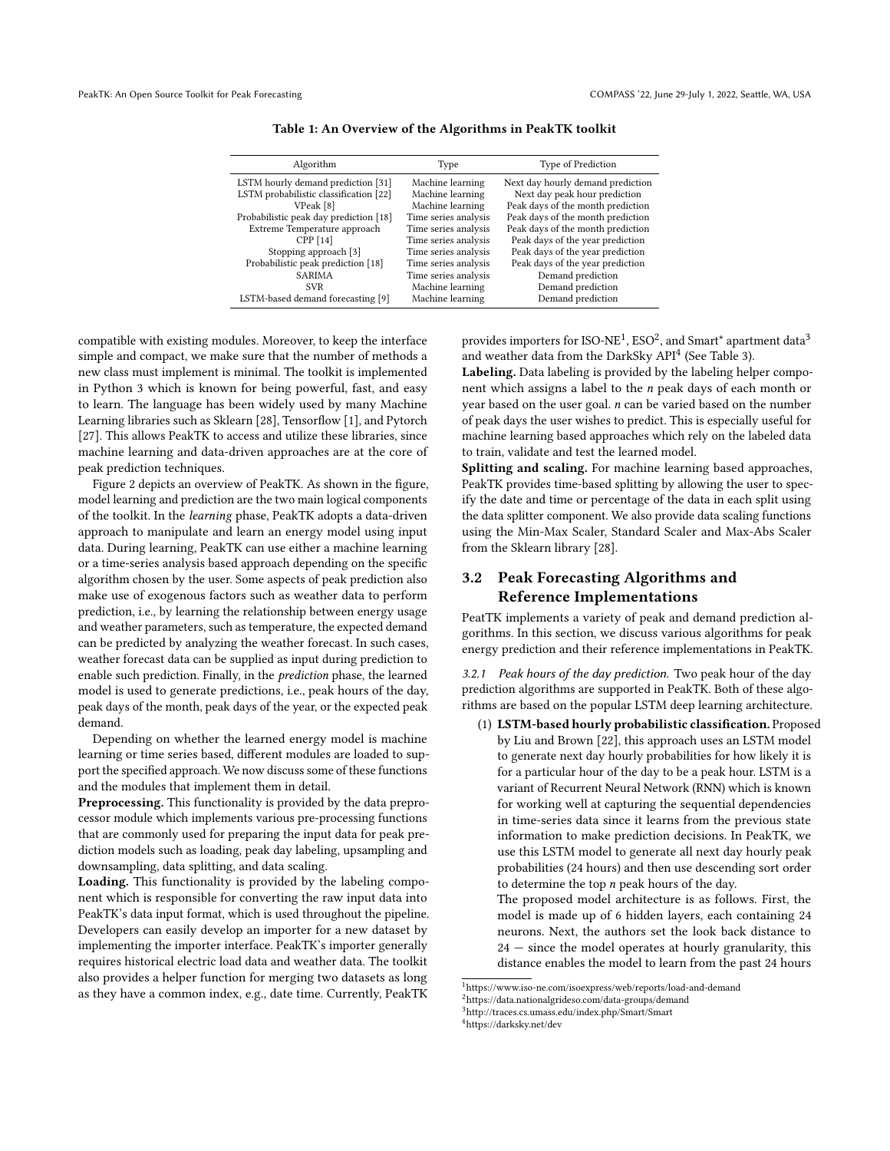<span id="page-4-1"></span>

| Algorithm                              | Type                 | Type of Prediction                |  |
|----------------------------------------|----------------------|-----------------------------------|--|
| LSTM hourly demand prediction [31]     | Machine learning     | Next day hourly demand prediction |  |
| LSTM probabilistic classification [22] | Machine learning     | Next day peak hour prediction     |  |
| VPeak [8]                              | Machine learning     | Peak days of the month prediction |  |
| Probabilistic peak day prediction [18] | Time series analysis | Peak days of the month prediction |  |
| Extreme Temperature approach           | Time series analysis | Peak days of the month prediction |  |
| CPP [14]                               | Time series analysis | Peak days of the year prediction  |  |
| Stopping approach [3]                  | Time series analysis | Peak days of the year prediction  |  |
| Probabilistic peak prediction [18]     | Time series analysis | Peak days of the year prediction  |  |
| <b>SARIMA</b>                          | Time series analysis | Demand prediction                 |  |
| <b>SVR</b>                             | Machine learning     | Demand prediction                 |  |
| LSTM-based demand forecasting [9]      | Machine learning     | Demand prediction                 |  |
|                                        |                      |                                   |  |

Table 1: An Overview of the Algorithms in PeakTK toolkit

compatible with existing modules. Moreover, to keep the interface simple and compact, we make sure that the number of methods a new class must implement is minimal. The toolkit is implemented in Python 3 which is known for being powerful, fast, and easy to learn. The language has been widely used by many Machine Learning libraries such as Sklearn [\[28\]](#page-15-6), Tensorflow [\[1\]](#page-14-17), and Pytorch [\[27\]](#page-15-7). This allows PeakTK to access and utilize these libraries, since machine learning and data-driven approaches are at the core of peak prediction techniques.

Figure [2](#page-5-0) depicts an overview of PeakTK. As shown in the figure, model learning and prediction are the two main logical components of the toolkit. In the learning phase, PeakTK adopts a data-driven approach to manipulate and learn an energy model using input data. During learning, PeakTK can use either a machine learning or a time-series analysis based approach depending on the specific algorithm chosen by the user. Some aspects of peak prediction also make use of exogenous factors such as weather data to perform prediction, i.e., by learning the relationship between energy usage and weather parameters, such as temperature, the expected demand can be predicted by analyzing the weather forecast. In such cases, weather forecast data can be supplied as input during prediction to enable such prediction. Finally, in the prediction phase, the learned model is used to generate predictions, i.e., peak hours of the day, peak days of the month, peak days of the year, or the expected peak demand.

Depending on whether the learned energy model is machine learning or time series based, different modules are loaded to support the specified approach. We now discuss some of these functions and the modules that implement them in detail.

Preprocessing. This functionality is provided by the data preprocessor module which implements various pre-processing functions that are commonly used for preparing the input data for peak prediction models such as loading, peak day labeling, upsampling and downsampling, data splitting, and data scaling.

Loading. This functionality is provided by the labeling component which is responsible for converting the raw input data into PeakTK's data input format, which is used throughout the pipeline. Developers can easily develop an importer for a new dataset by implementing the importer interface. PeakTK's importer generally requires historical electric load data and weather data. The toolkit also provides a helper function for merging two datasets as long as they have a common index, e.g., date time. Currently, PeakTK

provides importers for ISO-NE $^1$  $^1$ , ESO $^2$  $^2$ , and Smart\* apartment data $^3$  $^3$ and weather data from the DarkSky API<sup>[4](#page-4-5)</sup> (See Table [3\)](#page-10-0).

Labeling. Data labeling is provided by the labeling helper component which assigns a label to the n peak days of each month or year based on the user goal.  $n$  can be varied based on the number of peak days the user wishes to predict. This is especially useful for machine learning based approaches which rely on the labeled data to train, validate and test the learned model.

Splitting and scaling. For machine learning based approaches, PeakTK provides time-based splitting by allowing the user to specify the date and time or percentage of the data in each split using the data splitter component. We also provide data scaling functions using the Min-Max Scaler, Standard Scaler and Max-Abs Scaler from the Sklearn library [\[28\]](#page-15-6).

# <span id="page-4-0"></span>3.2 Peak Forecasting Algorithms and Reference Implementations

PeatTK implements a variety of peak and demand prediction algorithms. In this section, we discuss various algorithms for peak energy prediction and their reference implementations in PeakTK.

3.2.1 Peak hours of the day prediction. Two peak hour of the day prediction algorithms are supported in PeakTK. Both of these algorithms are based on the popular LSTM deep learning architecture.

(1) LSTM-based hourly probabilistic classification. Proposed by Liu and Brown [\[22\]](#page-14-10), this approach uses an LSTM model to generate next day hourly probabilities for how likely it is for a particular hour of the day to be a peak hour. LSTM is a variant of Recurrent Neural Network (RNN) which is known for working well at capturing the sequential dependencies in time-series data since it learns from the previous state information to make prediction decisions. In PeakTK, we use this LSTM model to generate all next day hourly peak probabilities (24 hours) and then use descending sort order to determine the top  $n$  peak hours of the day.

The proposed model architecture is as follows. First, the model is made up of 6 hidden layers, each containing 24 neurons. Next, the authors set the look back distance to  $24$  – since the model operates at hourly granularity, this distance enables the model to learn from the past 24 hours

<span id="page-4-2"></span><sup>1</sup>https://www.iso-ne.com/isoexpress/web/reports/load-and-demand

<span id="page-4-3"></span><sup>2</sup>https://data.nationalgrideso.com/data-groups/demand

<span id="page-4-4"></span><sup>3</sup>http://traces.cs.umass.edu/index.php/Smart/Smart

<span id="page-4-5"></span><sup>4</sup>https://darksky.net/dev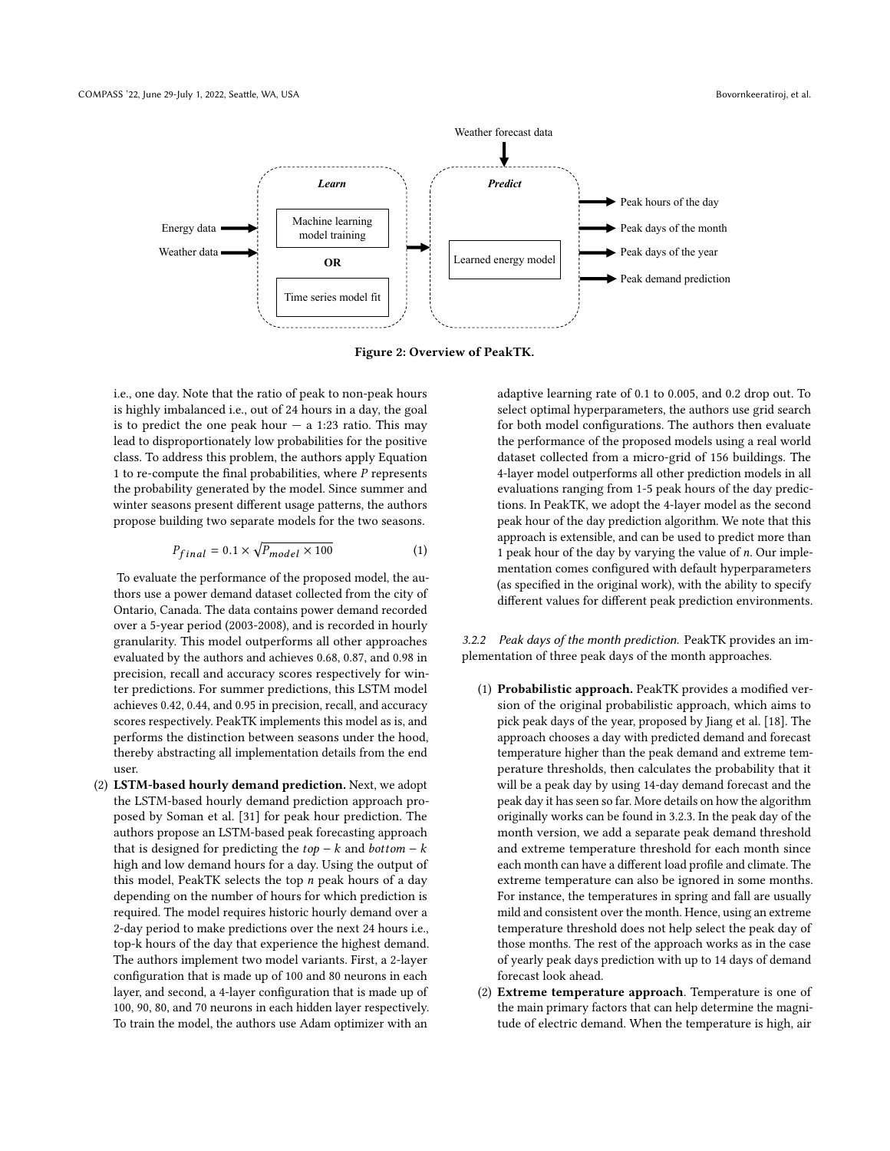<span id="page-5-0"></span>

Figure 2: Overview of PeakTK.

i.e., one day. Note that the ratio of peak to non-peak hours is highly imbalanced i.e., out of 24 hours in a day, the goal is to predict the one peak hour  $-$  a 1:23 ratio. This may lead to disproportionately low probabilities for the positive class. To address this problem, the authors apply Equation [1](#page-5-1) to re-compute the final probabilities, where  $P$  represents the probability generated by the model. Since summer and winter seasons present different usage patterns, the authors propose building two separate models for the two seasons.

<span id="page-5-1"></span>
$$
P_{final} = 0.1 \times \sqrt{P_{model} \times 100} \tag{1}
$$

To evaluate the performance of the proposed model, the authors use a power demand dataset collected from the city of Ontario, Canada. The data contains power demand recorded over a 5-year period (2003-2008), and is recorded in hourly granularity. This model outperforms all other approaches evaluated by the authors and achieves 0.68, 0.87, and 0.98 in precision, recall and accuracy scores respectively for winter predictions. For summer predictions, this LSTM model achieves 0.42, 0.44, and 0.95 in precision, recall, and accuracy scores respectively. PeakTK implements this model as is, and performs the distinction between seasons under the hood, thereby abstracting all implementation details from the end user.

(2) LSTM-based hourly demand prediction. Next, we adopt the LSTM-based hourly demand prediction approach proposed by Soman et al. [\[31\]](#page-15-3) for peak hour prediction. The authors propose an LSTM-based peak forecasting approach that is designed for predicting the  $top - k$  and  $bottom - k$ high and low demand hours for a day. Using the output of this model, PeakTK selects the top  $n$  peak hours of a day depending on the number of hours for which prediction is required. The model requires historic hourly demand over a 2-day period to make predictions over the next 24 hours i.e., top-k hours of the day that experience the highest demand. The authors implement two model variants. First, a 2-layer configuration that is made up of 100 and 80 neurons in each layer, and second, a 4-layer configuration that is made up of 100, 90, 80, and 70 neurons in each hidden layer respectively. To train the model, the authors use Adam optimizer with an

adaptive learning rate of 0.1 to 0.005, and 0.2 drop out. To select optimal hyperparameters, the authors use grid search for both model configurations. The authors then evaluate the performance of the proposed models using a real world dataset collected from a micro-grid of 156 buildings. The 4-layer model outperforms all other prediction models in all evaluations ranging from 1-5 peak hours of the day predictions. In PeakTK, we adopt the 4-layer model as the second peak hour of the day prediction algorithm. We note that this approach is extensible, and can be used to predict more than 1 peak hour of the day by varying the value of  $n$ . Our implementation comes configured with default hyperparameters (as specified in the original work), with the ability to specify different values for different peak prediction environments.

3.2.2 Peak days of the month prediction. PeakTK provides an implementation of three peak days of the month approaches.

- (1) Probabilistic approach. PeakTK provides a modified version of the original probabilistic approach, which aims to pick peak days of the year, proposed by Jiang et al. [\[18\]](#page-14-8). The approach chooses a day with predicted demand and forecast temperature higher than the peak demand and extreme temperature thresholds, then calculates the probability that it will be a peak day by using 14-day demand forecast and the peak day it has seen so far. More details on how the algorithm originally works can be found in [3.2.3.](#page-6-0) In the peak day of the month version, we add a separate peak demand threshold and extreme temperature threshold for each month since each month can have a different load profile and climate. The extreme temperature can also be ignored in some months. For instance, the temperatures in spring and fall are usually mild and consistent over the month. Hence, using an extreme temperature threshold does not help select the peak day of those months. The rest of the approach works as in the case of yearly peak days prediction with up to 14 days of demand forecast look ahead.
- (2) Extreme temperature approach. Temperature is one of the main primary factors that can help determine the magnitude of electric demand. When the temperature is high, air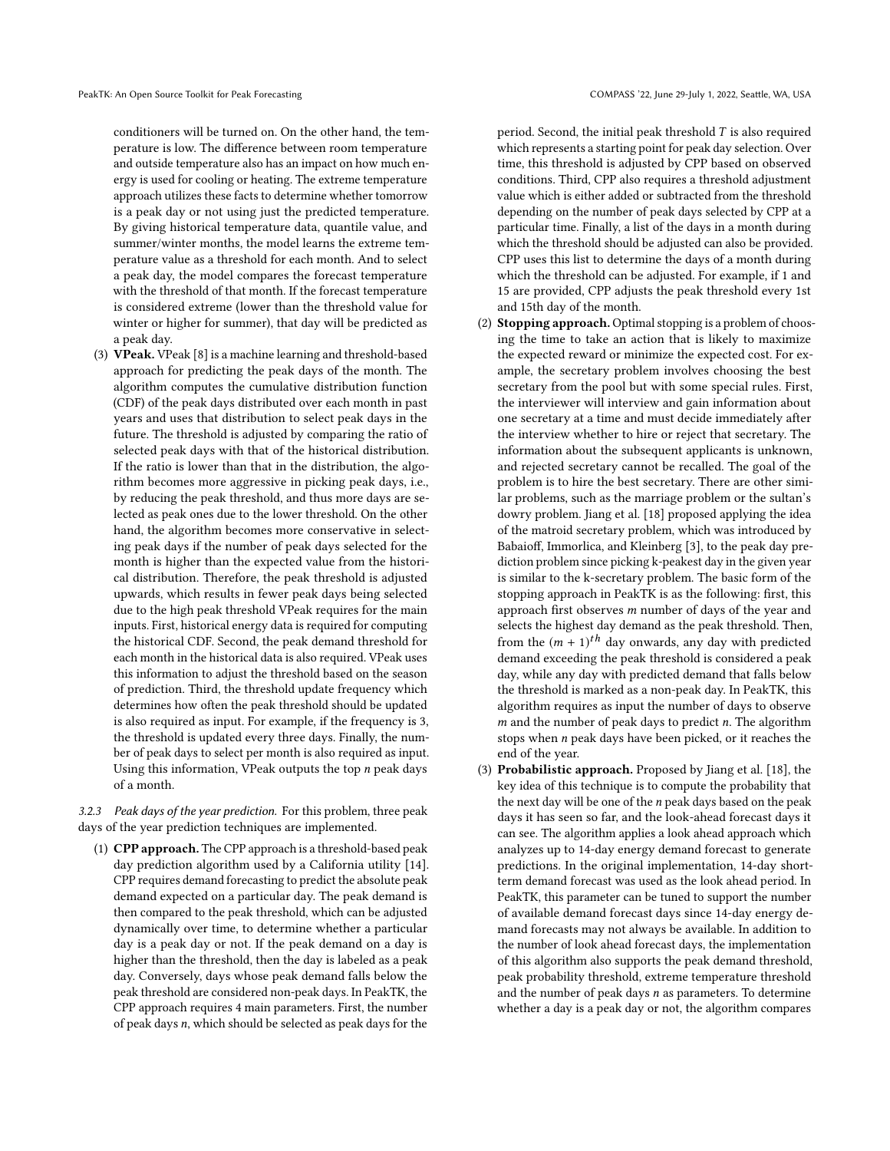conditioners will be turned on. On the other hand, the temperature is low. The difference between room temperature and outside temperature also has an impact on how much energy is used for cooling or heating. The extreme temperature approach utilizes these facts to determine whether tomorrow is a peak day or not using just the predicted temperature. By giving historical temperature data, quantile value, and summer/winter months, the model learns the extreme temperature value as a threshold for each month. And to select a peak day, the model compares the forecast temperature with the threshold of that month. If the forecast temperature is considered extreme (lower than the threshold value for winter or higher for summer), that day will be predicted as a peak day.

(3) VPeak. VPeak [\[8\]](#page-14-9) is a machine learning and threshold-based approach for predicting the peak days of the month. The algorithm computes the cumulative distribution function (CDF) of the peak days distributed over each month in past years and uses that distribution to select peak days in the future. The threshold is adjusted by comparing the ratio of selected peak days with that of the historical distribution. If the ratio is lower than that in the distribution, the algorithm becomes more aggressive in picking peak days, i.e., by reducing the peak threshold, and thus more days are selected as peak ones due to the lower threshold. On the other hand, the algorithm becomes more conservative in selecting peak days if the number of peak days selected for the month is higher than the expected value from the historical distribution. Therefore, the peak threshold is adjusted upwards, which results in fewer peak days being selected due to the high peak threshold VPeak requires for the main inputs. First, historical energy data is required for computing the historical CDF. Second, the peak demand threshold for each month in the historical data is also required. VPeak uses this information to adjust the threshold based on the season of prediction. Third, the threshold update frequency which determines how often the peak threshold should be updated is also required as input. For example, if the frequency is 3, the threshold is updated every three days. Finally, the number of peak days to select per month is also required as input. Using this information, VPeak outputs the top  $n$  peak days of a month.

<span id="page-6-0"></span>3.2.3 Peak days of the year prediction. For this problem, three peak days of the year prediction techniques are implemented.

(1) CPP approach. The CPP approach is a threshold-based peak day prediction algorithm used by a California utility [\[14\]](#page-14-16). CPP requires demand forecasting to predict the absolute peak demand expected on a particular day. The peak demand is then compared to the peak threshold, which can be adjusted dynamically over time, to determine whether a particular day is a peak day or not. If the peak demand on a day is higher than the threshold, then the day is labeled as a peak day. Conversely, days whose peak demand falls below the peak threshold are considered non-peak days. In PeakTK, the CPP approach requires 4 main parameters. First, the number of peak days n, which should be selected as peak days for the

period. Second, the initial peak threshold  $T$  is also required which represents a starting point for peak day selection. Over time, this threshold is adjusted by CPP based on observed conditions. Third, CPP also requires a threshold adjustment value which is either added or subtracted from the threshold depending on the number of peak days selected by CPP at a particular time. Finally, a list of the days in a month during which the threshold should be adjusted can also be provided. CPP uses this list to determine the days of a month during which the threshold can be adjusted. For example, if 1 and 15 are provided, CPP adjusts the peak threshold every 1st and 15th day of the month.

- (2) Stopping approach. Optimal stopping is a problem of choosing the time to take an action that is likely to maximize the expected reward or minimize the expected cost. For example, the secretary problem involves choosing the best secretary from the pool but with some special rules. First, the interviewer will interview and gain information about one secretary at a time and must decide immediately after the interview whether to hire or reject that secretary. The information about the subsequent applicants is unknown, and rejected secretary cannot be recalled. The goal of the problem is to hire the best secretary. There are other similar problems, such as the marriage problem or the sultan's dowry problem. Jiang et al. [\[18\]](#page-14-8) proposed applying the idea of the matroid secretary problem, which was introduced by Babaioff, Immorlica, and Kleinberg [\[3\]](#page-14-11), to the peak day prediction problem since picking k-peakest day in the given year is similar to the k-secretary problem. The basic form of the stopping approach in PeakTK is as the following: first, this approach first observes m number of days of the year and selects the highest day demand as the peak threshold. Then, from the  $(m + 1)^{th}$  day onwards, any day with predicted<br>demand exceeding the peak threshold is considered a peak demand exceeding the peak threshold is considered a peak day, while any day with predicted demand that falls below the threshold is marked as a non-peak day. In PeakTK, this algorithm requires as input the number of days to observe  $m$  and the number of peak days to predict  $n$ . The algorithm stops when  $n$  peak days have been picked, or it reaches the end of the year.
- (3) Probabilistic approach. Proposed by Jiang et al. [\[18\]](#page-14-8), the key idea of this technique is to compute the probability that the next day will be one of the  $n$  peak days based on the peak days it has seen so far, and the look-ahead forecast days it can see. The algorithm applies a look ahead approach which analyzes up to 14-day energy demand forecast to generate predictions. In the original implementation, 14-day shortterm demand forecast was used as the look ahead period. In PeakTK, this parameter can be tuned to support the number of available demand forecast days since 14-day energy demand forecasts may not always be available. In addition to the number of look ahead forecast days, the implementation of this algorithm also supports the peak demand threshold, peak probability threshold, extreme temperature threshold and the number of peak days  $n$  as parameters. To determine whether a day is a peak day or not, the algorithm compares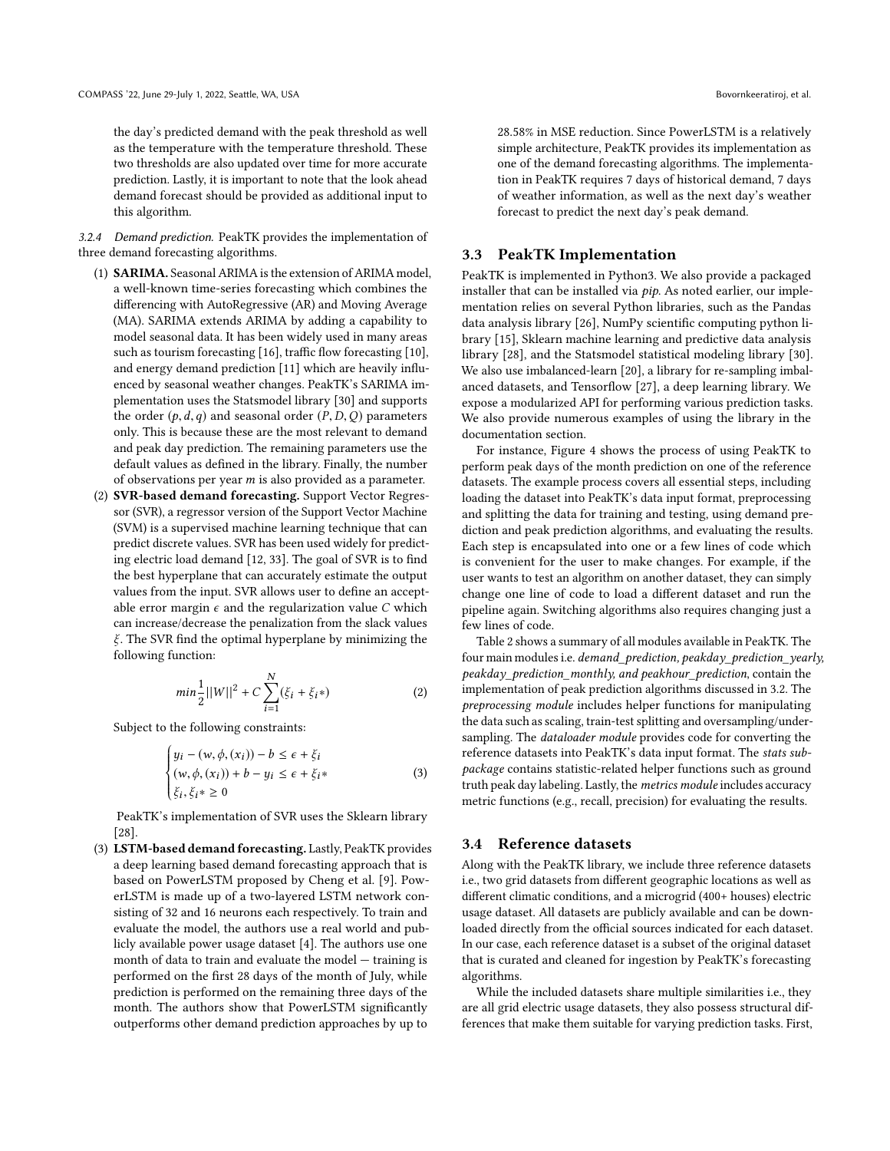the day's predicted demand with the peak threshold as well as the temperature with the temperature threshold. These two thresholds are also updated over time for more accurate prediction. Lastly, it is important to note that the look ahead demand forecast should be provided as additional input to this algorithm.

3.2.4 Demand prediction. PeakTK provides the implementation of three demand forecasting algorithms.

- (1) SARIMA. Seasonal ARIMA is the extension of ARIMA model, a well-known time-series forecasting which combines the differencing with AutoRegressive (AR) and Moving Average (MA). SARIMA extends ARIMA by adding a capability to model seasonal data. It has been widely used in many areas such as tourism forecasting [\[16\]](#page-14-18), traffic flow forecasting [\[10\]](#page-14-19), and energy demand prediction [\[11\]](#page-14-20) which are heavily influenced by seasonal weather changes. PeakTK's SARIMA implementation uses the Statsmodel library [\[30\]](#page-15-8) and supports the order  $(p, d, q)$  and seasonal order  $(P, D, Q)$  parameters only. This is because these are the most relevant to demand and peak day prediction. The remaining parameters use the default values as defined in the library. Finally, the number of observations per year  $m$  is also provided as a parameter.
- (2) SVR-based demand forecasting. Support Vector Regressor (SVR), a regressor version of the Support Vector Machine (SVM) is a supervised machine learning technique that can predict discrete values. SVR has been used widely for predicting electric load demand [\[12,](#page-14-21) [33\]](#page-15-9). The goal of SVR is to find the best hyperplane that can accurately estimate the output values from the input. SVR allows user to define an acceptable error margin  $\epsilon$  and the regularization value C which can increase/decrease the penalization from the slack values ξ. The SVR find the optimal hyperplane by minimizing the following function:

$$
min\frac{1}{2}||W||^2 + C\sum_{i=1}^{N}(\xi_i + \xi_i*)
$$
 (2)

Subject to the following constraints:

$$
\begin{cases}\n y_i - (w, \phi, (x_i)) - b \le \epsilon + \xi_i \\
 (w, \phi, (x_i)) + b - y_i \le \epsilon + \xi_i * \\
 \xi_i, \xi_i * \ge 0\n\end{cases}
$$
\n(3)

 PeakTK's implementation of SVR uses the Sklearn library [\[28\]](#page-15-6).

(3) LSTM-based demand forecasting. Lastly, PeakTK provides a deep learning based demand forecasting approach that is based on PowerLSTM proposed by Cheng et al. [\[9\]](#page-14-12). PowerLSTM is made up of a two-layered LSTM network consisting of 32 and 16 neurons each respectively. To train and evaluate the model, the authors use a real world and publicly available power usage dataset [\[4\]](#page-14-22). The authors use one month of data to train and evaluate the model — training is performed on the first 28 days of the month of July, while prediction is performed on the remaining three days of the month. The authors show that PowerLSTM significantly outperforms other demand prediction approaches by up to

28.58% in MSE reduction. Since PowerLSTM is a relatively simple architecture, PeakTK provides its implementation as one of the demand forecasting algorithms. The implementation in PeakTK requires 7 days of historical demand, 7 days of weather information, as well as the next day's weather forecast to predict the next day's peak demand.

### 3.3 PeakTK Implementation

PeakTK is implemented in Python3. We also provide a packaged installer that can be installed via pip. As noted earlier, our implementation relies on several Python libraries, such as the Pandas data analysis library [\[26\]](#page-14-23), NumPy scientific computing python library [\[15\]](#page-14-24), Sklearn machine learning and predictive data analysis library [\[28\]](#page-15-6), and the Statsmodel statistical modeling library [\[30\]](#page-15-8). We also use imbalanced-learn [\[20\]](#page-14-25), a library for re-sampling imbalanced datasets, and Tensorflow [\[27\]](#page-15-7), a deep learning library. We expose a modularized API for performing various prediction tasks. We also provide numerous examples of using the library in the documentation section.

For instance, Figure [4](#page-11-0) shows the process of using PeakTK to perform peak days of the month prediction on one of the reference datasets. The example process covers all essential steps, including loading the dataset into PeakTK's data input format, preprocessing and splitting the data for training and testing, using demand prediction and peak prediction algorithms, and evaluating the results. Each step is encapsulated into one or a few lines of code which is convenient for the user to make changes. For example, if the user wants to test an algorithm on another dataset, they can simply change one line of code to load a different dataset and run the pipeline again. Switching algorithms also requires changing just a few lines of code.

Table [2](#page-8-0) shows a summary of all modules available in PeakTK. The four main modules i.e. demand\_prediction, peakday\_prediction\_yearly, peakday\_prediction\_monthly, and peakhour\_prediction, contain the implementation of peak prediction algorithms discussed in [3.2.](#page-4-0) The preprocessing module includes helper functions for manipulating the data such as scaling, train-test splitting and oversampling/undersampling. The dataloader module provides code for converting the reference datasets into PeakTK's data input format. The stats subpackage contains statistic-related helper functions such as ground truth peak day labeling. Lastly, the metrics module includes accuracy metric functions (e.g., recall, precision) for evaluating the results.

### 3.4 Reference datasets

Along with the PeakTK library, we include three reference datasets i.e., two grid datasets from different geographic locations as well as different climatic conditions, and a microgrid (400+ houses) electric usage dataset. All datasets are publicly available and can be downloaded directly from the official sources indicated for each dataset. In our case, each reference dataset is a subset of the original dataset that is curated and cleaned for ingestion by PeakTK's forecasting algorithms.

While the included datasets share multiple similarities i.e., they are all grid electric usage datasets, they also possess structural differences that make them suitable for varying prediction tasks. First,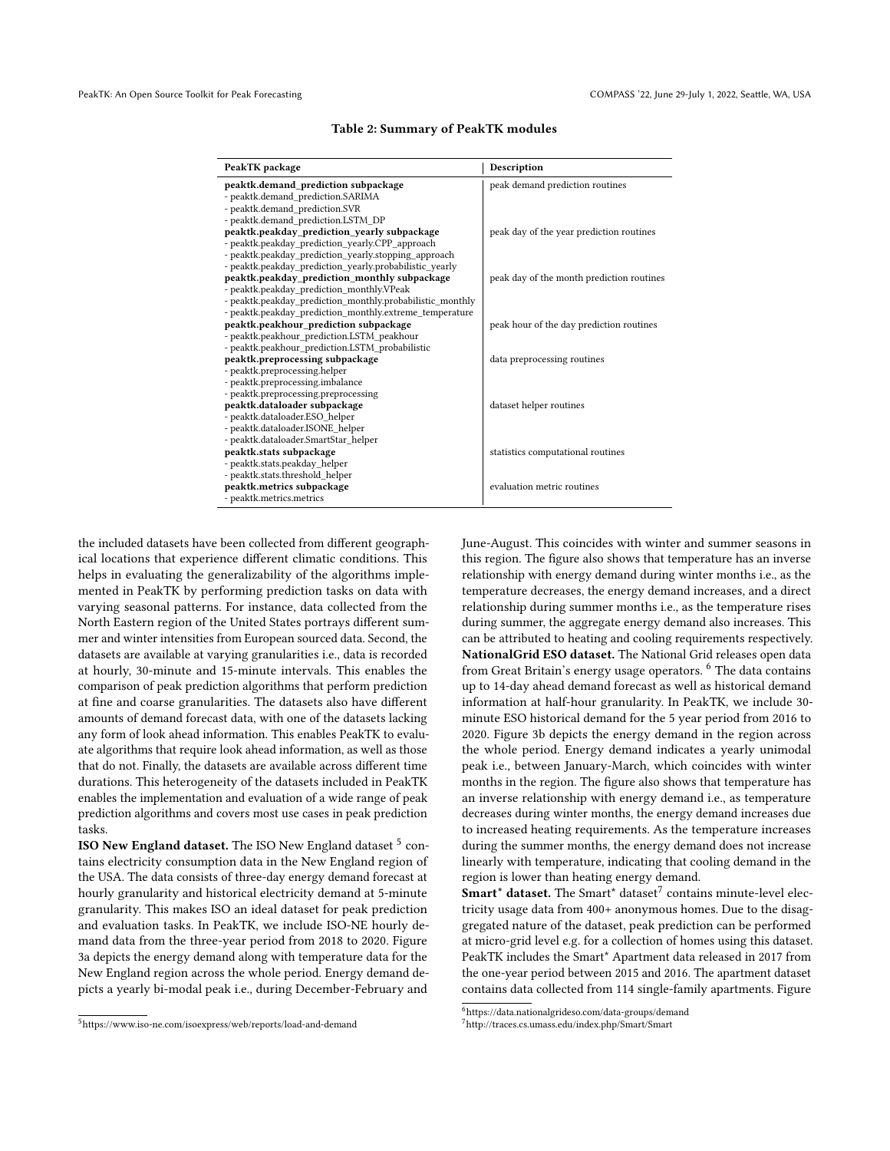<span id="page-8-0"></span>

| PeakTK package                                            | Description                               |  |
|-----------------------------------------------------------|-------------------------------------------|--|
| peaktk.demand prediction subpackage                       | peak demand prediction routines           |  |
| - peaktk.demand_prediction.SARIMA                         |                                           |  |
| - peaktk.demand prediction.SVR                            |                                           |  |
| - peaktk.demand prediction.LSTM DP                        |                                           |  |
| peaktk.peakday prediction yearly subpackage               | peak day of the year prediction routines  |  |
| - peaktk.peakday_prediction_yearly.CPP_approach           |                                           |  |
| - peaktk.peakday prediction yearly.stopping approach      |                                           |  |
| - peaktk.peakday prediction yearly.probabilistic yearly   |                                           |  |
| peaktk.peakday_prediction_monthly subpackage              | peak day of the month prediction routines |  |
| - peaktk.peakday prediction monthly.VPeak                 |                                           |  |
| - peaktk.peakday prediction monthly.probabilistic monthly |                                           |  |
| - peaktk.peakday prediction monthly.extreme temperature   |                                           |  |
| peaktk.peakhour prediction subpackage                     | peak hour of the day prediction routines  |  |
| - peaktk.peakhour prediction.LSTM peakhour                |                                           |  |
| - peaktk.peakhour prediction.LSTM probabilistic           |                                           |  |
| peaktk.preprocessing subpackage                           | data preprocessing routines               |  |
| - peaktk.preprocessing.helper                             |                                           |  |
| - peaktk.preprocessing.imbalance                          |                                           |  |
| - peaktk.preprocessing.preprocessing                      |                                           |  |
| peaktk.dataloader subpackage                              | dataset helper routines                   |  |
| - peaktk.dataloader.ESO helper                            |                                           |  |
| - peaktk.dataloader.ISONE helper                          |                                           |  |
| - peaktk.dataloader.SmartStar helper                      |                                           |  |
| peaktk.stats subpackage                                   | statistics computational routines         |  |
| - peaktk.stats.peakday_helper                             |                                           |  |
| - peaktk.stats.threshold helper                           |                                           |  |
| peaktk.metrics subpackage                                 | evaluation metric routines                |  |
| - peaktk.metrics.metrics                                  |                                           |  |

#### Table 2: Summary of PeakTK modules

the included datasets have been collected from different geographical locations that experience different climatic conditions. This helps in evaluating the generalizability of the algorithms implemented in PeakTK by performing prediction tasks on data with varying seasonal patterns. For instance, data collected from the North Eastern region of the United States portrays different summer and winter intensities from European sourced data. Second, the datasets are available at varying granularities i.e., data is recorded at hourly, 30-minute and 15-minute intervals. This enables the comparison of peak prediction algorithms that perform prediction at fine and coarse granularities. The datasets also have different amounts of demand forecast data, with one of the datasets lacking any form of look ahead information. This enables PeakTK to evaluate algorithms that require look ahead information, as well as those that do not. Finally, the datasets are available across different time durations. This heterogeneity of the datasets included in PeakTK enables the implementation and evaluation of a wide range of peak prediction algorithms and covers most use cases in peak prediction tasks.

ISO New England dataset. The ISO New England dataset  $^5$  $^5$  contains electricity consumption data in the New England region of the USA. The data consists of three-day energy demand forecast at hourly granularity and historical electricity demand at 5-minute granularity. This makes ISO an ideal dataset for peak prediction and evaluation tasks. In PeakTK, we include ISO-NE hourly demand data from the three-year period from 2018 to 2020. Figure [3a](#page-10-1) depicts the energy demand along with temperature data for the New England region across the whole period. Energy demand depicts a yearly bi-modal peak i.e., during December-February and

June-August. This coincides with winter and summer seasons in this region. The figure also shows that temperature has an inverse relationship with energy demand during winter months i.e., as the temperature decreases, the energy demand increases, and a direct relationship during summer months i.e., as the temperature rises during summer, the aggregate energy demand also increases. This can be attributed to heating and cooling requirements respectively. NationalGrid ESO dataset. The National Grid releases open data from Great Britain's energy usage operators. <sup>[6](#page-8-2)</sup> The data contains up to 14-day ahead demand forecast as well as historical demand information at half-hour granularity. In PeakTK, we include 30 minute ESO historical demand for the 5 year period from 2016 to 2020. Figure [3b](#page-10-1) depicts the energy demand in the region across the whole period. Energy demand indicates a yearly unimodal peak i.e., between January-March, which coincides with winter months in the region. The figure also shows that temperature has an inverse relationship with energy demand i.e., as temperature decreases during winter months, the energy demand increases due to increased heating requirements. As the temperature increases during the summer months, the energy demand does not increase linearly with temperature, indicating that cooling demand in the region is lower than heating energy demand.

 $$ tricity usage data from 400+ anonymous homes. Due to the disaggregated nature of the dataset, peak prediction can be performed at micro-grid level e.g. for a collection of homes using this dataset. PeakTK includes the Smart\* Apartment data released in 2017 from the one-year period between 2015 and 2016. The apartment dataset contains data collected from 114 single-family apartments. Figure

<span id="page-8-1"></span><sup>5</sup>https://www.iso-ne.com/isoexpress/web/reports/load-and-demand

<span id="page-8-2"></span> $^6$ https://data.nationalgrideso.com/data-groups/demand

<span id="page-8-3"></span><sup>7</sup>http://traces.cs.umass.edu/index.php/Smart/Smart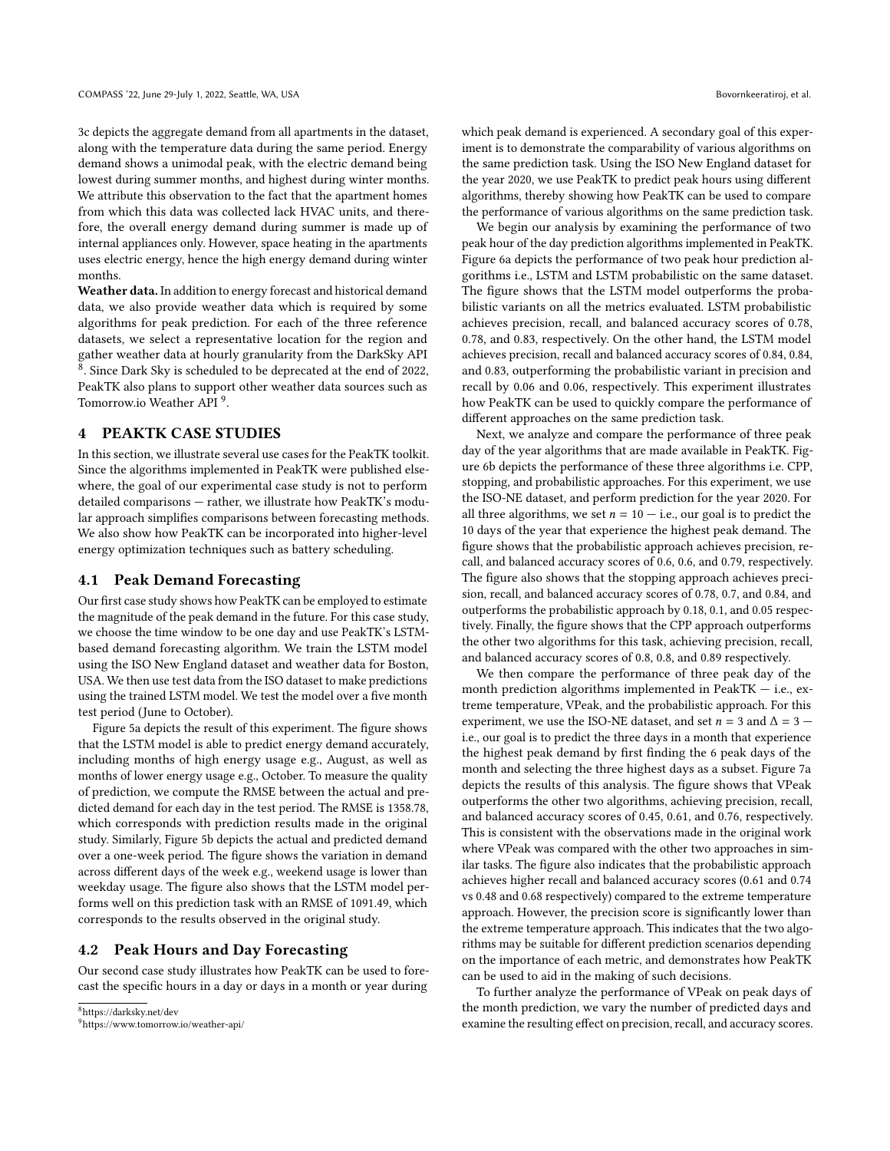[3c](#page-10-1) depicts the aggregate demand from all apartments in the dataset, along with the temperature data during the same period. Energy demand shows a unimodal peak, with the electric demand being lowest during summer months, and highest during winter months. We attribute this observation to the fact that the apartment homes from which this data was collected lack HVAC units, and therefore, the overall energy demand during summer is made up of internal appliances only. However, space heating in the apartments uses electric energy, hence the high energy demand during winter months.

Weather data. In addition to energy forecast and historical demand data, we also provide weather data which is required by some algorithms for peak prediction. For each of the three reference datasets, we select a representative location for the region and gather weather data at hourly granularity from the DarkSky API  $^8$  $^8$ . Since Dark Sky is scheduled to be deprecated at the end of 2022, PeakTK also plans to support other weather data sources such as Tomorrow.io Weather API<sup>[9](#page-9-1)</sup>.

#### 4 PEAKTK CASE STUDIES

In this section, we illustrate several use cases for the PeakTK toolkit. Since the algorithms implemented in PeakTK were published elsewhere, the goal of our experimental case study is not to perform detailed comparisons — rather, we illustrate how PeakTK's modular approach simplifies comparisons between forecasting methods. We also show how PeakTK can be incorporated into higher-level energy optimization techniques such as battery scheduling.

### 4.1 Peak Demand Forecasting

Our first case study shows how PeakTK can be employed to estimate the magnitude of the peak demand in the future. For this case study, we choose the time window to be one day and use PeakTK's LSTMbased demand forecasting algorithm. We train the LSTM model using the ISO New England dataset and weather data for Boston, USA. We then use test data from the ISO dataset to make predictions using the trained LSTM model. We test the model over a five month test period (June to October).

Figure [5a](#page-12-0) depicts the result of this experiment. The figure shows that the LSTM model is able to predict energy demand accurately, including months of high energy usage e.g., August, as well as months of lower energy usage e.g., October. To measure the quality of prediction, we compute the RMSE between the actual and predicted demand for each day in the test period. The RMSE is 1358.78, which corresponds with prediction results made in the original study. Similarly, Figure [5b](#page-12-0) depicts the actual and predicted demand over a one-week period. The figure shows the variation in demand across different days of the week e.g., weekend usage is lower than weekday usage. The figure also shows that the LSTM model performs well on this prediction task with an RMSE of 1091.49, which corresponds to the results observed in the original study.

### 4.2 Peak Hours and Day Forecasting

Our second case study illustrates how PeakTK can be used to forecast the specific hours in a day or days in a month or year during

which peak demand is experienced. A secondary goal of this experiment is to demonstrate the comparability of various algorithms on the same prediction task. Using the ISO New England dataset for the year 2020, we use PeakTK to predict peak hours using different algorithms, thereby showing how PeakTK can be used to compare the performance of various algorithms on the same prediction task.

We begin our analysis by examining the performance of two peak hour of the day prediction algorithms implemented in PeakTK. Figure [6a](#page-12-1) depicts the performance of two peak hour prediction algorithms i.e., LSTM and LSTM probabilistic on the same dataset. The figure shows that the LSTM model outperforms the probabilistic variants on all the metrics evaluated. LSTM probabilistic achieves precision, recall, and balanced accuracy scores of 0.78, 0.78, and 0.83, respectively. On the other hand, the LSTM model achieves precision, recall and balanced accuracy scores of 0.84, 0.84, and 0.83, outperforming the probabilistic variant in precision and recall by 0.06 and 0.06, respectively. This experiment illustrates how PeakTK can be used to quickly compare the performance of different approaches on the same prediction task.

Next, we analyze and compare the performance of three peak day of the year algorithms that are made available in PeakTK. Figure [6b](#page-12-1) depicts the performance of these three algorithms i.e. CPP, stopping, and probabilistic approaches. For this experiment, we use the ISO-NE dataset, and perform prediction for the year 2020. For all three algorithms, we set  $n = 10 - i.e.,$  our goal is to predict the 10 days of the year that experience the highest peak demand. The figure shows that the probabilistic approach achieves precision, recall, and balanced accuracy scores of 0.6, 0.6, and 0.79, respectively. The figure also shows that the stopping approach achieves precision, recall, and balanced accuracy scores of 0.78, 0.7, and 0.84, and outperforms the probabilistic approach by 0.18, 0.1, and 0.05 respectively. Finally, the figure shows that the CPP approach outperforms the other two algorithms for this task, achieving precision, recall, and balanced accuracy scores of 0.8, 0.8, and 0.89 respectively.

We then compare the performance of three peak day of the month prediction algorithms implemented in PeakTK  $-$  i.e., extreme temperature, VPeak, and the probabilistic approach. For this experiment, we use the ISO-NE dataset, and set  $n = 3$  and  $\Delta = 3$  i.e., our goal is to predict the three days in a month that experience the highest peak demand by first finding the 6 peak days of the month and selecting the three highest days as a subset. Figure [7a](#page-13-0) depicts the results of this analysis. The figure shows that VPeak outperforms the other two algorithms, achieving precision, recall, and balanced accuracy scores of 0.45, 0.61, and 0.76, respectively. This is consistent with the observations made in the original work where VPeak was compared with the other two approaches in similar tasks. The figure also indicates that the probabilistic approach achieves higher recall and balanced accuracy scores (0.61 and 0.74 vs 0.48 and 0.68 respectively) compared to the extreme temperature approach. However, the precision score is significantly lower than the extreme temperature approach. This indicates that the two algorithms may be suitable for different prediction scenarios depending on the importance of each metric, and demonstrates how PeakTK can be used to aid in the making of such decisions.

To further analyze the performance of VPeak on peak days of the month prediction, we vary the number of predicted days and examine the resulting effect on precision, recall, and accuracy scores.

<span id="page-9-1"></span><span id="page-9-0"></span><sup>8</sup>https://darksky.net/dev <sup>9</sup>https://www.tomorrow.io/weather-api/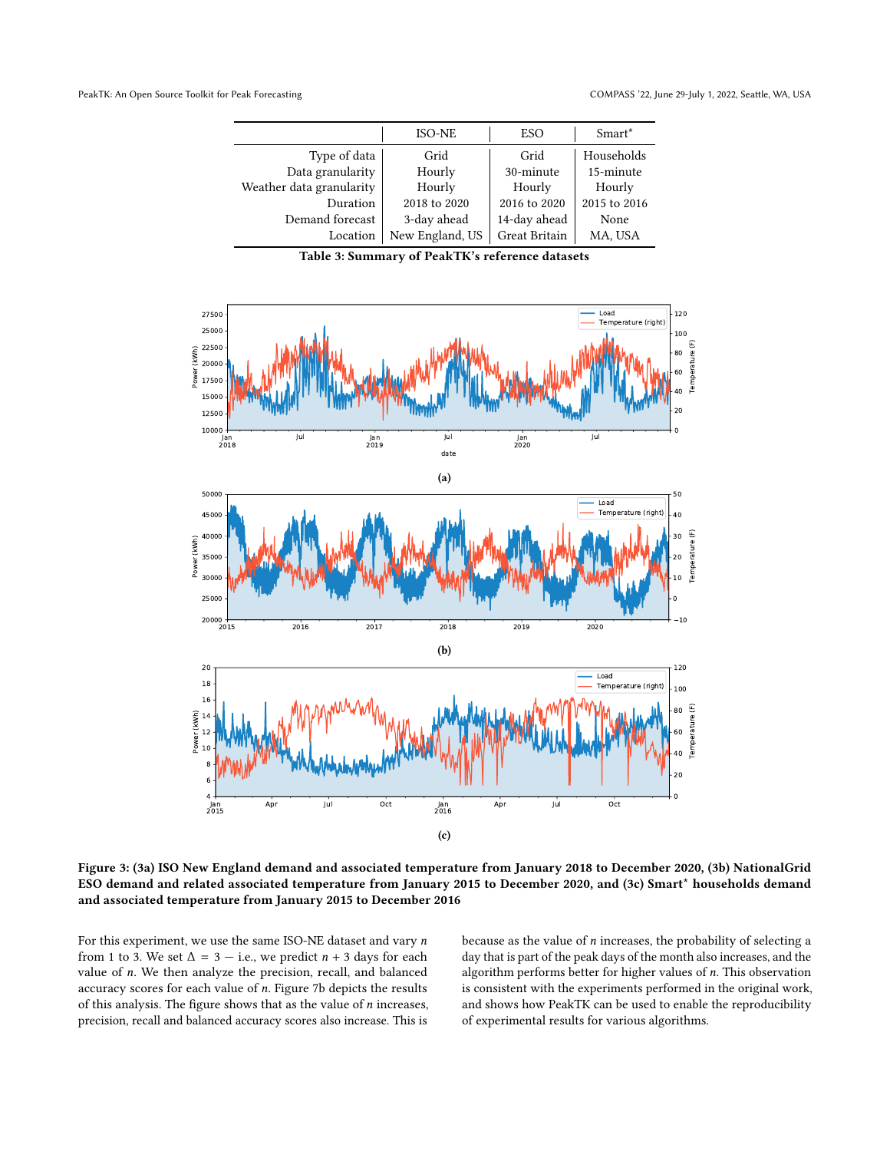<span id="page-10-0"></span>

|                          | <b>ISO-NE</b>   | <b>ESO</b>    | Smart <sup>*</sup> |
|--------------------------|-----------------|---------------|--------------------|
| Type of data             | Grid            | Grid          | Households         |
| Data granularity         | Hourly          | 30-minute     | 15-minute          |
| Weather data granularity | Hourly          | Hourly        | Hourly             |
| Duration                 | 2018 to 2020    | 2016 to 2020  | 2015 to 2016       |
| Demand forecast          | 3-day ahead     | 14-day ahead  | None               |
| Location                 | New England, US | Great Britain | MA, USA            |

Table 3: Summary of PeakTK's reference datasets

<span id="page-10-1"></span>

Figure 3: [\(3a\)](#page-10-1) ISO New England demand and associated temperature from January 2018 to December 2020, [\(3b\)](#page-10-1) NationalGrid ESO demand and related associated temperature from January 2015 to December 2020, and [\(3c\)](#page-10-1) Smart\* households demand and associated temperature from January 2015 to December 2016

For this experiment, we use the same ISO-NE dataset and vary  $n$ from 1 to 3. We set  $\Delta = 3 - i.e.,$  we predict  $n + 3$  days for each value of n. We then analyze the precision, recall, and balanced accuracy scores for each value of n. Figure [7b](#page-13-0) depicts the results of this analysis. The figure shows that as the value of  $n$  increases, precision, recall and balanced accuracy scores also increase. This is

because as the value of  $n$  increases, the probability of selecting a day that is part of the peak days of the month also increases, and the algorithm performs better for higher values of n. This observation is consistent with the experiments performed in the original work, and shows how PeakTK can be used to enable the reproducibility of experimental results for various algorithms.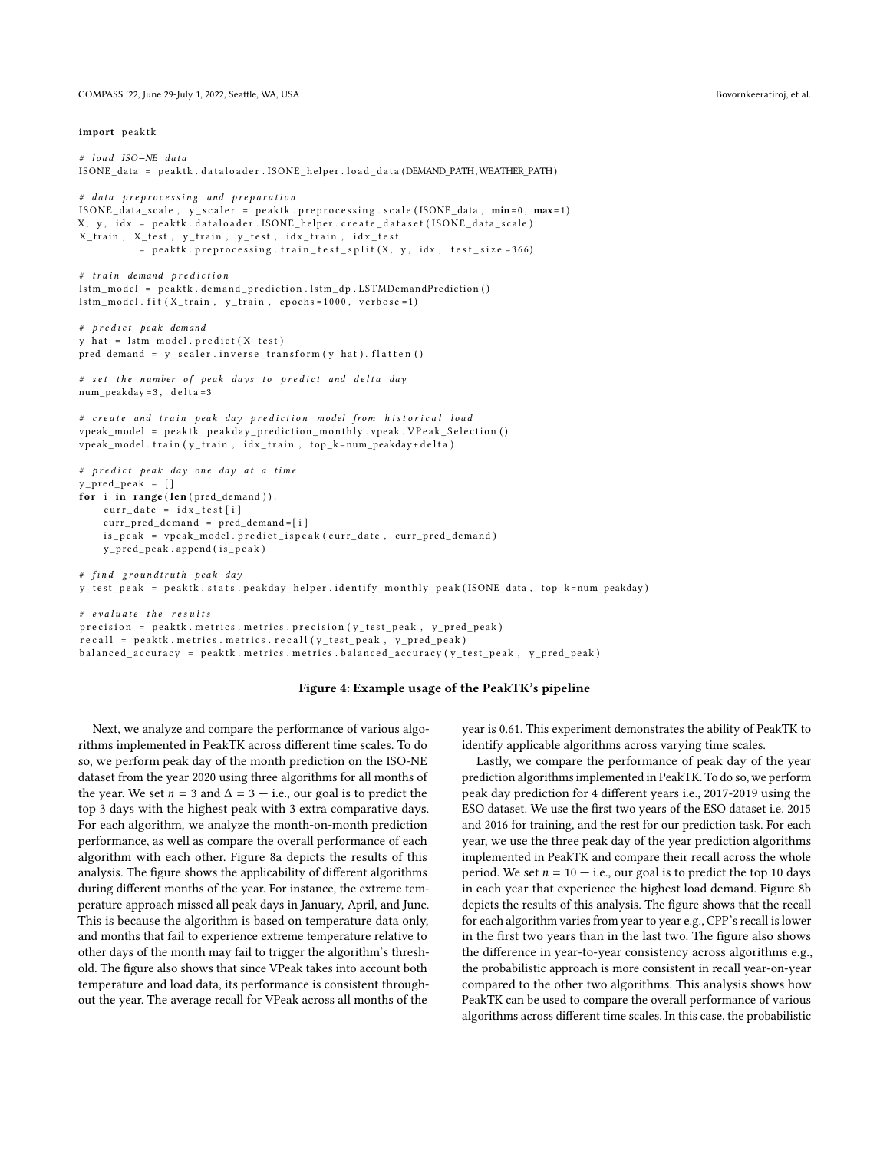<span id="page-11-0"></span>COMPASS '22, June 29-July 1, 2022, Seattle, WA, USA Bovornkeeratiroj, et al.

```
# load ISO-NE data
ISONE data = peaktk . dataloader . ISONE helper . load data (DEMAND PATH, WEATHER PATH)
# data preprocessing and preparation
ISONE_data scale, y_scaler = peaktk. preprocessing. scale (ISONE_data, min=0, max=1)
X, y, idx = peaktk.dataloader.ISONE_helper.create_dataset(ISONE_data_scale)
X_train, X_test, y_train, y_test, idx_train, idx_test
          = peaktk.preprocessing.train_test_split (X, y, idx, test_size = 366)
# train demand prediction
lstm_model = peaktk.demand_prediction.lstm_dp.LSTMDemandPrediction()
\verb|lstm_model.fit (X_train , y_train , epochs=1000 , verbose=1)|# predict peak demand
y_{\text{hat}} = lstm_model.predict(X_test)
pred\_demand = y\_scalar.inverse\_transform(y\_hat). flatten ()
# set the number of peak days to predict and delta day
num_peakday = 3, delta=3
# create and train peak day prediction model from historical load
vpeak\_model = peak k . peak day\_prediction\_ monthly . vpeak . VPeak\_Selection ()
vpeak_model.train ( y_train, id x_train, top_k=num_peakday+ delta)
# predict peak day one day at a time
y pred peak = [ ]for i in range (len (pred_demand)):
    curr_data = idx_test[i]curr\_pred\_demand = pred\_demand = [i]is_peak = vpeak_model.predict_ispeak(curr_date, curr_pred_demand)
    y_pred_peak.append(is_peak)
# find groundtruth peak day
y_test_peak = peaktk.stats.peakday_helper.identify_monthly_peak(ISONE_data, top_k=num_peakday)
```

```
# evaluate the resultsprecision = peaktk. metrics. metrics. precision (y_test_peak, y_prob_peak)
r e c all = p e a k t k . m e trics . m e trics . r e c all ( y_t e st_p e a k , y_p r e d_p e a k )
balanced_accuracy = peaktk. metrics. metrics. balanced_accuracy (y_test_peak, y_pred_peak)
```
#### Figure 4: Example usage of the PeakTK's pipeline

Next, we analyze and compare the performance of various algorithms implemented in PeakTK across different time scales. To do so, we perform peak day of the month prediction on the ISO-NE dataset from the year 2020 using three algorithms for all months of the year. We set  $n = 3$  and  $\Delta = 3 - i.e.,$  our goal is to predict the top 3 days with the highest peak with 3 extra comparative days. For each algorithm, we analyze the month-on-month prediction performance, as well as compare the overall performance of each algorithm with each other. Figure [8a](#page-13-1) depicts the results of this analysis. The figure shows the applicability of different algorithms during different months of the year. For instance, the extreme temperature approach missed all peak days in January, April, and June. This is because the algorithm is based on temperature data only, and months that fail to experience extreme temperature relative to other days of the month may fail to trigger the algorithm's threshold. The figure also shows that since VPeak takes into account both temperature and load data, its performance is consistent throughout the year. The average recall for VPeak across all months of the

year is 0.61. This experiment demonstrates the ability of PeakTK to identify applicable algorithms across varying time scales.

Lastly, we compare the performance of peak day of the year prediction algorithms implemented in PeakTK. To do so, we perform peak day prediction for 4 different years i.e., 2017-2019 using the ESO dataset. We use the first two years of the ESO dataset i.e. 2015 and 2016 for training, and the rest for our prediction task. For each year, we use the three peak day of the year prediction algorithms implemented in PeakTK and compare their recall across the whole period. We set  $n = 10 - i.e.,$  our goal is to predict the top 10 days in each year that experience the highest load demand. Figure [8b](#page-13-1) depicts the results of this analysis. The figure shows that the recall for each algorithm varies from year to year e.g., CPP's recall is lower in the first two years than in the last two. The figure also shows the difference in year-to-year consistency across algorithms e.g., the probabilistic approach is more consistent in recall year-on-year compared to the other two algorithms. This analysis shows how PeakTK can be used to compare the overall performance of various algorithms across different time scales. In this case, the probabilistic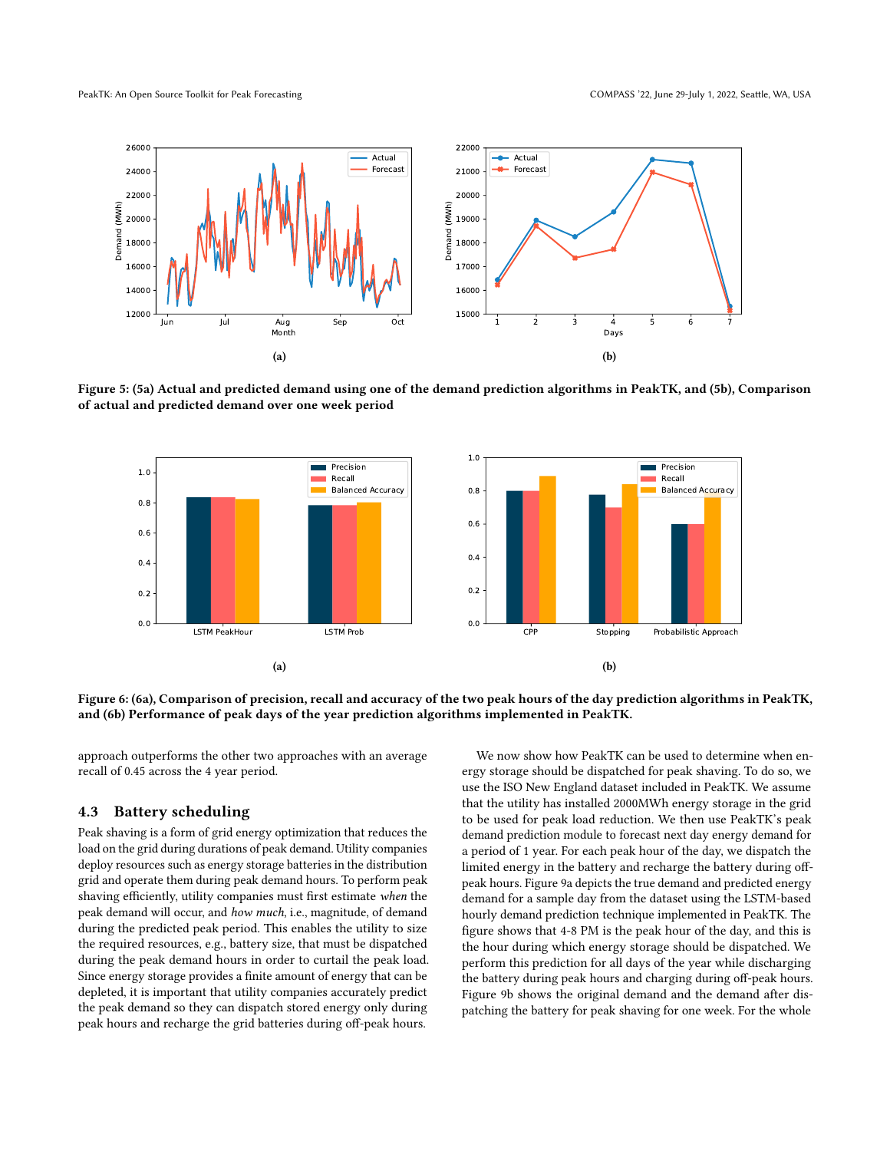<span id="page-12-0"></span>



<span id="page-12-1"></span>Figure 5: [\(5a\)](#page-12-0) Actual and predicted demand using one of the demand prediction algorithms in PeakTK, and [\(5b\)](#page-12-0), Comparison of actual and predicted demand over one week period



Figure 6: [\(6a\)](#page-12-1), Comparison of precision, recall and accuracy of the two peak hours of the day prediction algorithms in PeakTK, and [\(6b\)](#page-12-1) Performance of peak days of the year prediction algorithms implemented in PeakTK.

approach outperforms the other two approaches with an average recall of 0.45 across the 4 year period.

### 4.3 Battery scheduling

Peak shaving is a form of grid energy optimization that reduces the load on the grid during durations of peak demand. Utility companies deploy resources such as energy storage batteries in the distribution grid and operate them during peak demand hours. To perform peak shaving efficiently, utility companies must first estimate when the peak demand will occur, and how much, i.e., magnitude, of demand during the predicted peak period. This enables the utility to size the required resources, e.g., battery size, that must be dispatched during the peak demand hours in order to curtail the peak load. Since energy storage provides a finite amount of energy that can be depleted, it is important that utility companies accurately predict the peak demand so they can dispatch stored energy only during peak hours and recharge the grid batteries during off-peak hours.

We now show how PeakTK can be used to determine when energy storage should be dispatched for peak shaving. To do so, we use the ISO New England dataset included in PeakTK. We assume that the utility has installed 2000MWh energy storage in the grid to be used for peak load reduction. We then use PeakTK's peak demand prediction module to forecast next day energy demand for a period of 1 year. For each peak hour of the day, we dispatch the limited energy in the battery and recharge the battery during offpeak hours. Figure [9a](#page-14-26) depicts the true demand and predicted energy demand for a sample day from the dataset using the LSTM-based hourly demand prediction technique implemented in PeakTK. The figure shows that 4-8 PM is the peak hour of the day, and this is the hour during which energy storage should be dispatched. We perform this prediction for all days of the year while discharging the battery during peak hours and charging during off-peak hours. Figure [9b](#page-14-26) shows the original demand and the demand after dispatching the battery for peak shaving for one week. For the whole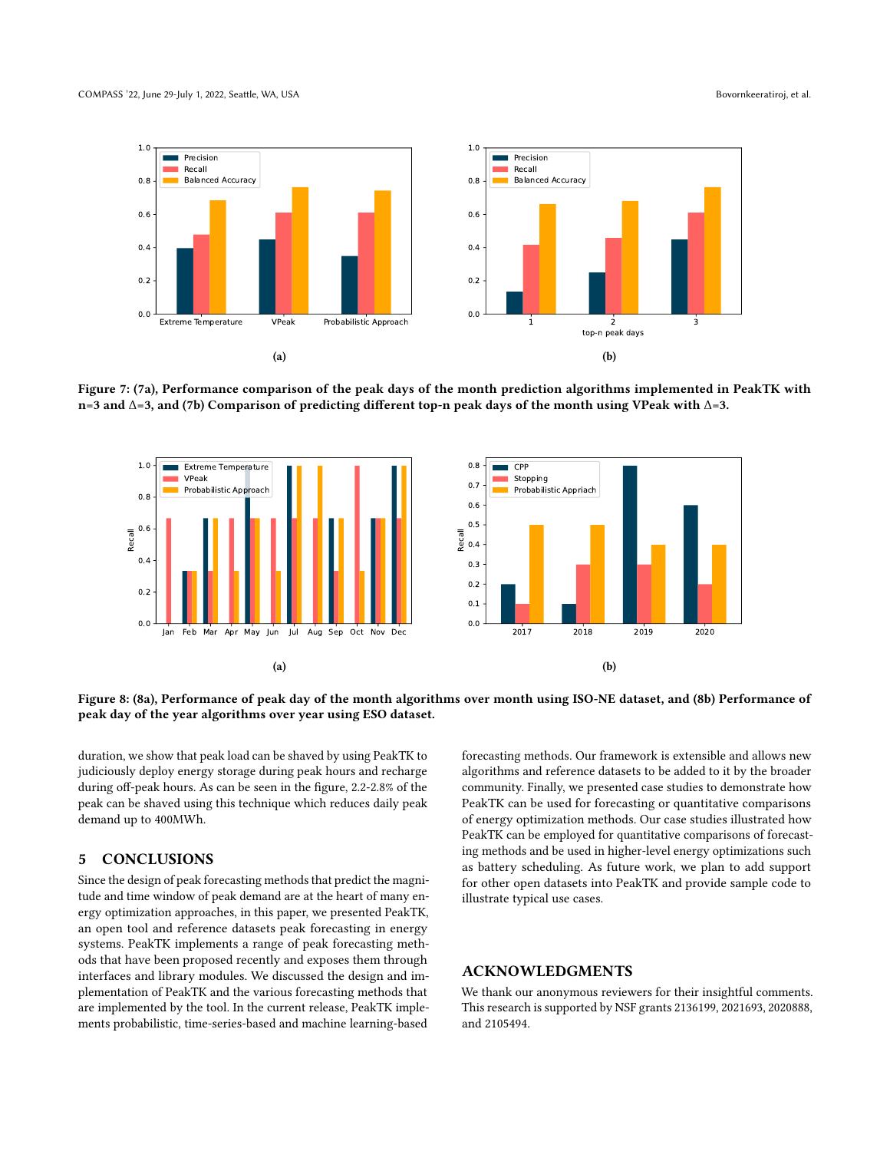<span id="page-13-0"></span>

Figure 7: [\(7a\)](#page-13-0), Performance comparison of the peak days of the month prediction algorithms implemented in PeakTK with n=3 and ∆=3, and [\(7b\)](#page-13-0) Comparison of predicting different top-n peak days of the month using VPeak with ∆=3.

<span id="page-13-1"></span>

Figure 8: [\(8a\)](#page-13-1), Performance of peak day of the month algorithms over month using ISO-NE dataset, and [\(8b\)](#page-13-1) Performance of peak day of the year algorithms over year using ESO dataset.

duration, we show that peak load can be shaved by using PeakTK to judiciously deploy energy storage during peak hours and recharge during off-peak hours. As can be seen in the figure, 2.2-2.8% of the peak can be shaved using this technique which reduces daily peak demand up to 400MWh.

### 5 CONCLUSIONS

Since the design of peak forecasting methods that predict the magnitude and time window of peak demand are at the heart of many energy optimization approaches, in this paper, we presented PeakTK, an open tool and reference datasets peak forecasting in energy systems. PeakTK implements a range of peak forecasting methods that have been proposed recently and exposes them through interfaces and library modules. We discussed the design and implementation of PeakTK and the various forecasting methods that are implemented by the tool. In the current release, PeakTK implements probabilistic, time-series-based and machine learning-based

forecasting methods. Our framework is extensible and allows new algorithms and reference datasets to be added to it by the broader community. Finally, we presented case studies to demonstrate how PeakTK can be used for forecasting or quantitative comparisons of energy optimization methods. Our case studies illustrated how PeakTK can be employed for quantitative comparisons of forecasting methods and be used in higher-level energy optimizations such as battery scheduling. As future work, we plan to add support for other open datasets into PeakTK and provide sample code to illustrate typical use cases.

# ACKNOWLEDGMENTS

We thank our anonymous reviewers for their insightful comments. This research is supported by NSF grants 2136199, 2021693, 2020888, and 2105494.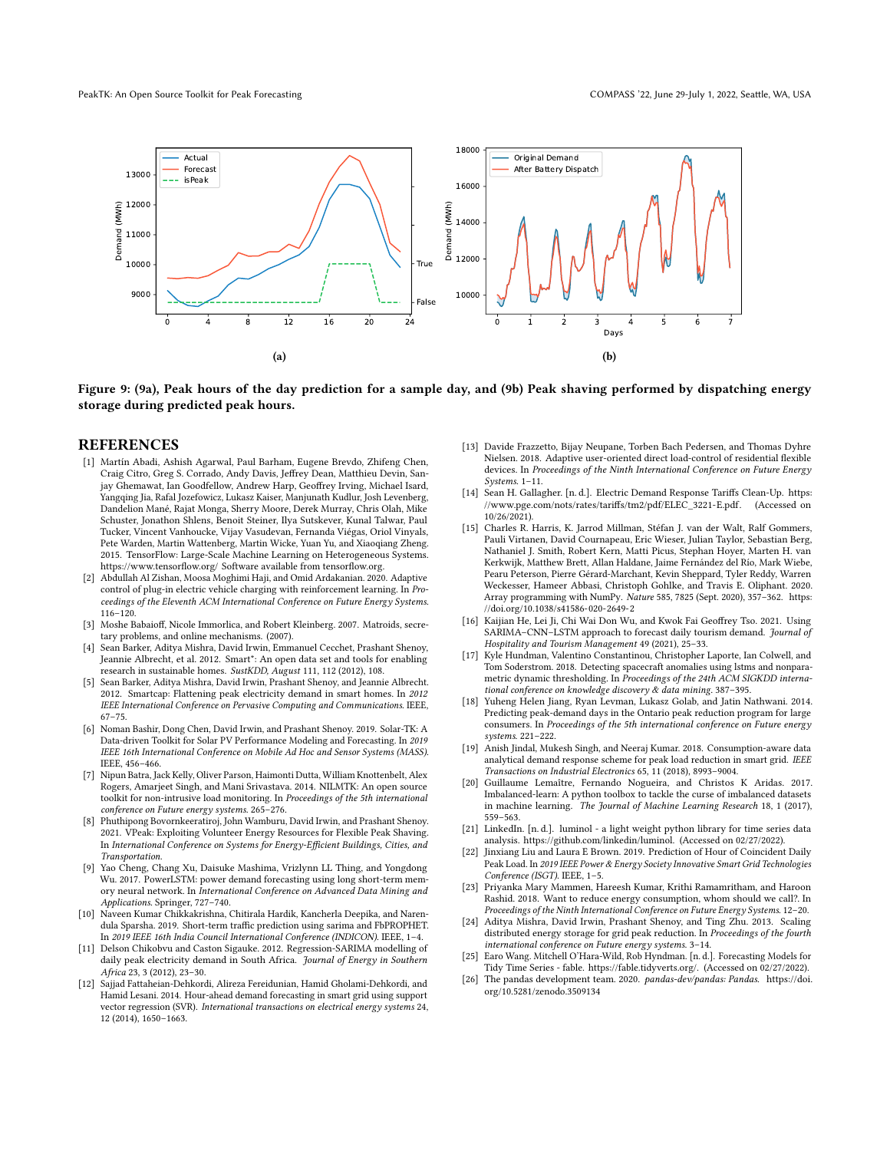<span id="page-14-26"></span>

Figure 9: [\(9a\)](#page-14-26), Peak hours of the day prediction for a sample day, and [\(9b\)](#page-14-26) Peak shaving performed by dispatching energy storage during predicted peak hours.

#### REFERENCES

- <span id="page-14-17"></span>[1] Martín Abadi, Ashish Agarwal, Paul Barham, Eugene Brevdo, Zhifeng Chen, Craig Citro, Greg S. Corrado, Andy Davis, Jeffrey Dean, Matthieu Devin, Sanjay Ghemawat, Ian Goodfellow, Andrew Harp, Geoffrey Irving, Michael Isard, Yangqing Jia, Rafal Jozefowicz, Lukasz Kaiser, Manjunath Kudlur, Josh Levenberg, Dandelion Mané, Rajat Monga, Sherry Moore, Derek Murray, Chris Olah, Mike Schuster, Jonathon Shlens, Benoit Steiner, Ilya Sutskever, Kunal Talwar, Paul Tucker, Vincent Vanhoucke, Vijay Vasudevan, Fernanda Viégas, Oriol Vinyals, Pete Warden, Martin Wattenberg, Martin Wicke, Yuan Yu, and Xiaoqiang Zheng. 2015. TensorFlow: Large-Scale Machine Learning on Heterogeneous Systems. <https://www.tensorflow.org/> Software available from tensorflow.org.
- <span id="page-14-4"></span>[2] Abdullah Al Zishan, Moosa Moghimi Haji, and Omid Ardakanian. 2020. Adaptive control of plug-in electric vehicle charging with reinforcement learning. In Proceedings of the Eleventh ACM International Conference on Future Energy Systems. 116–120.
- <span id="page-14-11"></span>[3] Moshe Babaioff, Nicole Immorlica, and Robert Kleinberg. 2007. Matroids, secretary problems, and online mechanisms. (2007).
- <span id="page-14-22"></span>[4] Sean Barker, Aditya Mishra, David Irwin, Emmanuel Cecchet, Prashant Shenoy, Jeannie Albrecht, et al. 2012. Smart\*: An open data set and tools for enabling research in sustainable homes. SustKDD, August 111, 112 (2012), 108.
- <span id="page-14-5"></span>[5] Sean Barker, Aditya Mishra, David Irwin, Prashant Shenoy, and Jeannie Albrecht. 2012. Smartcap: Flattening peak electricity demand in smart homes. In 2012 IEEE International Conference on Pervasive Computing and Communications. IEEE, 67–75.
- <span id="page-14-7"></span>[6] Noman Bashir, Dong Chen, David Irwin, and Prashant Shenoy. 2019. Solar-TK: A Data-driven Toolkit for Solar PV Performance Modeling and Forecasting. In 2019 IEEE 16th International Conference on Mobile Ad Hoc and Sensor Systems (MASS). IEEE, 456–466.
- <span id="page-14-6"></span>[7] Nipun Batra, Jack Kelly, Oliver Parson, Haimonti Dutta, William Knottenbelt, Alex Rogers, Amarjeet Singh, and Mani Srivastava. 2014. NILMTK: An open source toolkit for non-intrusive load monitoring. In Proceedings of the 5th international conference on Future energy systems. 265–276.
- <span id="page-14-9"></span>[8] Phuthipong Bovornkeeratiroj, John Wamburu, David Irwin, and Prashant Shenoy. 2021. VPeak: Exploiting Volunteer Energy Resources for Flexible Peak Shaving. In International Conference on Systems for Energy-Efficient Buildings, Cities, and Transportation.
- <span id="page-14-12"></span>[9] Yao Cheng, Chang Xu, Daisuke Mashima, Vrizlynn LL Thing, and Yongdong Wu. 2017. PowerLSTM: power demand forecasting using long short-term memory neural network. In International Conference on Advanced Data Mining and Applications. Springer, 727–740.
- <span id="page-14-19"></span>[10] Naveen Kumar Chikkakrishna, Chitirala Hardik, Kancherla Deepika, and Narendula Sparsha. 2019. Short-term traffic prediction using sarima and FbPROPHET. In 2019 IEEE 16th India Council International Conference (INDICON). IEEE, 1–4.
- <span id="page-14-20"></span>[11] Delson Chikobvu and Caston Sigauke. 2012. Regression-SARIMA modelling of daily peak electricity demand in South Africa. Journal of Energy in Southern Africa 23, 3 (2012), 23–30.
- <span id="page-14-21"></span>[12] Sajjad Fattaheian-Dehkordi, Alireza Fereidunian, Hamid Gholami-Dehkordi, and Hamid Lesani. 2014. Hour-ahead demand forecasting in smart grid using support vector regression (SVR). International transactions on electrical energy systems 24, 12 (2014), 1650–1663.
- <span id="page-14-1"></span>[13] Davide Frazzetto, Bijay Neupane, Torben Bach Pedersen, and Thomas Dyhre Nielsen. 2018. Adaptive user-oriented direct load-control of residential flexible devices. In Proceedings of the Ninth International Conference on Future Energy Systems. 1–11.
- <span id="page-14-16"></span>[14] Sean H. Gallagher. [n. d.]. Electric Demand Response Tariffs Clean-Up. [https:](https://www.pge.com/nots/rates/tariffs/tm2/pdf/ELEC_3221-E.pdf) [//www.pge.com/nots/rates/tariffs/tm2/pdf/ELEC\\_3221-E.pdf.](https://www.pge.com/nots/rates/tariffs/tm2/pdf/ELEC_3221-E.pdf) (Accessed on 10/26/2021).
- <span id="page-14-24"></span>[15] Charles R. Harris, K. Jarrod Millman, Stéfan J. van der Walt, Ralf Gommers, Pauli Virtanen, David Cournapeau, Eric Wieser, Julian Taylor, Sebastian Berg, Nathaniel J. Smith, Robert Kern, Matti Picus, Stephan Hoyer, Marten H. van Kerkwijk, Matthew Brett, Allan Haldane, Jaime Fernández del Río, Mark Wiebe, Pearu Peterson, Pierre Gérard-Marchant, Kevin Sheppard, Tyler Reddy, Warren Weckesser, Hameer Abbasi, Christoph Gohlke, and Travis E. Oliphant. 2020. Array programming with NumPy. Nature 585, 7825 (Sept. 2020), 357–362. [https:](https://doi.org/10.1038/s41586-020-2649-2) [//doi.org/10.1038/s41586-020-2649-2](https://doi.org/10.1038/s41586-020-2649-2)
- <span id="page-14-18"></span>[16] Kaijian He, Lei Ji, Chi Wai Don Wu, and Kwok Fai Geoffrey Tso. 2021. Using SARIMA-CNN-LSTM approach to forecast daily tourism demand. Journal of Hospitality and Tourism Management 49 (2021), 25–33.
- <span id="page-14-15"></span>[17] Kyle Hundman, Valentino Constantinou, Christopher Laporte, Ian Colwell, and Tom Soderstrom. 2018. Detecting spacecraft anomalies using lstms and nonparametric dynamic thresholding. In Proceedings of the 24th ACM SIGKDD international conference on knowledge discovery & data mining. 387–395.
- <span id="page-14-8"></span>[18] Yuheng Helen Jiang, Ryan Levman, Lukasz Golab, and Jatin Nathwani. 2014. Predicting peak-demand days in the Ontario peak reduction program for large consumers. In Proceedings of the 5th international conference on Future energy systems. 221–222.
- <span id="page-14-2"></span>[19] Anish Jindal, Mukesh Singh, and Neeraj Kumar. 2018. Consumption-aware data analytical demand response scheme for peak load reduction in smart grid. IEEE Transactions on Industrial Electronics 65, 11 (2018), 8993–9004.
- <span id="page-14-25"></span>[20] Guillaume Lemaître, Fernando Nogueira, and Christos K Aridas. 2017. Imbalanced-learn: A python toolbox to tackle the curse of imbalanced datasets in machine learning. The Journal of Machine Learning Research 18, 1 (2017), 559–563.
- <span id="page-14-14"></span>[21] LinkedIn. [n. d.]. luminol - a light weight python library for time series data analysis. [https://github.com/linkedin/luminol.](https://github.com/linkedin/luminol) (Accessed on 02/27/2022).
- <span id="page-14-10"></span>[22] Jinxiang Liu and Laura E Brown. 2019. Prediction of Hour of Coincident Daily Peak Load. In 2019 IEEE Power & Energy Society Innovative Smart Grid Technologies Conference (ISGT). IEEE, 1–5.
- <span id="page-14-3"></span>[23] Priyanka Mary Mammen, Hareesh Kumar, Krithi Ramamritham, and Haroon Rashid. 2018. Want to reduce energy consumption, whom should we call?. In Proceedings of the Ninth International Conference on Future Energy Systems. 12–20.
- <span id="page-14-0"></span>[24] Aditya Mishra, David Irwin, Prashant Shenoy, and Ting Zhu. 2013. Scaling distributed energy storage for grid peak reduction. In Proceedings of the fourth international conference on Future energy systems. 3–14.
- <span id="page-14-13"></span>[25] Earo Wang. Mitchell O'Hara-Wild, Rob Hyndman. [n. d.]. Forecasting Models for Tidy Time Series - fable. [https://fable.tidyverts.org/.](https://fable.tidyverts.org/) (Accessed on 02/27/2022).
- <span id="page-14-23"></span>[26] The pandas development team. 2020. pandas-dev/pandas: Pandas. [https://doi.](https://doi.org/10.5281/zenodo.3509134) [org/10.5281/zenodo.3509134](https://doi.org/10.5281/zenodo.3509134)